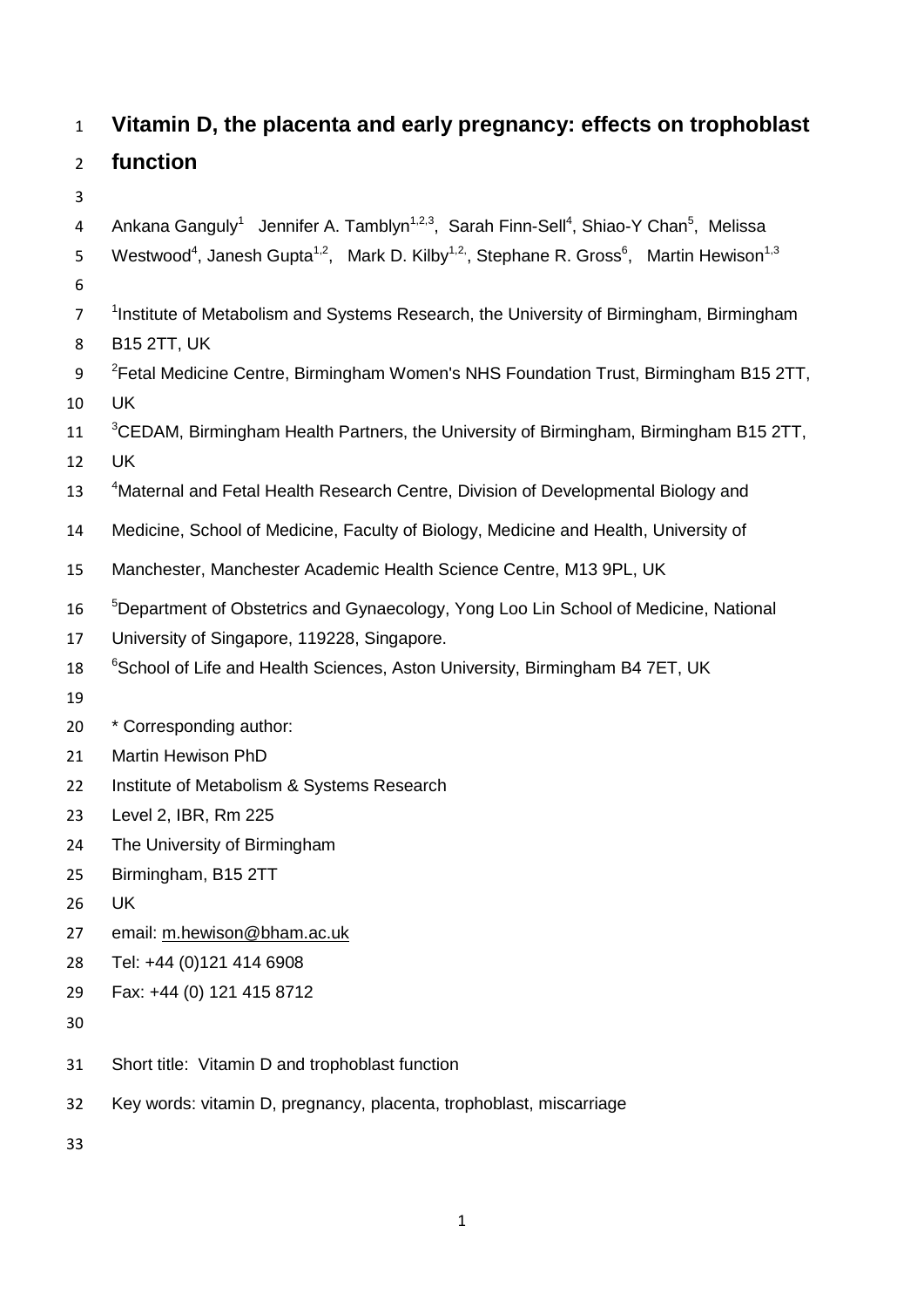# **Vitamin D, the placenta and early pregnancy: effects on trophoblast**

# **function**

- 
- 4 Ankana Ganguly<sup>1</sup> Jennifer A. Tamblyn<sup>1,2,3</sup>, Sarah Finn-Sell<sup>4</sup>, Shiao-Y Chan<sup>5</sup>, Melissa
- Westwood<sup>4</sup>, Janesh Gupta<sup>1,2</sup>, Mark D. Kilby<sup>1,2</sup>, Stephane R. Gross<sup>6</sup>, Martin Hewison<sup>1,3</sup>
- 
- <sup>1</sup> Institute of Metabolism and Systems Research, the University of Birmingham, Birmingham
- B15 2TT, UK
- 9 <sup>2</sup> Fetal Medicine Centre, Birmingham Women's NHS Foundation Trust, Birmingham B15 2TT, UK
- 11 <sup>3</sup>CEDAM, Birmingham Health Partners, the University of Birmingham, Birmingham B15 2TT,
- UK
- 13 <sup>4</sup>Maternal and Fetal Health Research Centre, Division of Developmental Biology and
- Medicine, School of Medicine, Faculty of Biology, Medicine and Health, University of
- Manchester, Manchester Academic Health Science Centre, M13 9PL, UK
- <sup>5</sup>Department of Obstetrics and Gynaecology, Yong Loo Lin School of Medicine, National
- University of Singapore, 119228, Singapore.
- 18 <sup>6</sup>School of Life and Health Sciences, Aston University, Birmingham B4 7ET, UK
- 
- \* Corresponding author:
- Martin Hewison PhD
- Institute of Metabolism & Systems Research
- Level 2, IBR, Rm 225
- The University of Birmingham
- Birmingham, B15 2TT
- UK
- email: [m.hewison@bham.ac.uk](mailto:m.hewison@bham.ac.uk)
- Tel: +44 (0)121 414 6908
- Fax: +44 (0) 121 415 8712
- 
- Short title: Vitamin D and trophoblast function
- Key words: vitamin D, pregnancy, placenta, trophoblast, miscarriage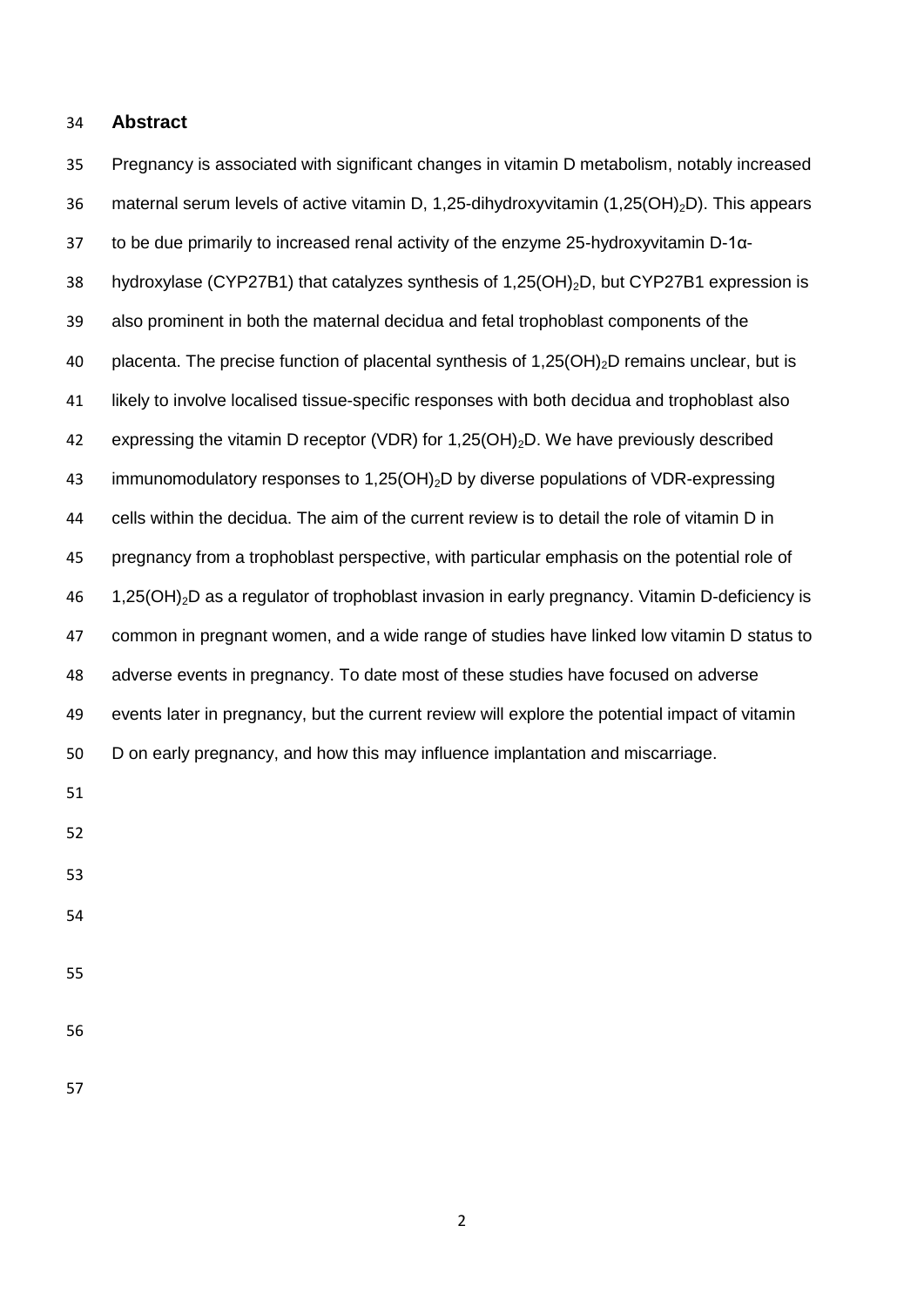#### **Abstract**

 Pregnancy is associated with significant changes in vitamin D metabolism, notably increased 36 maternal serum levels of active vitamin D, 1,25-dihydroxyvitamin (1,25(OH)<sub>2</sub>D). This appears to be due primarily to increased renal activity of the enzyme 25-hydroxyvitamin D-1α-38 hydroxylase (CYP27B1) that catalyzes synthesis of 1,25(OH)<sub>2</sub>D, but CYP27B1 expression is also prominent in both the maternal decidua and fetal trophoblast components of the 40 placenta. The precise function of placental synthesis of  $1,25(OH)_{2}D$  remains unclear, but is likely to involve localised tissue-specific responses with both decidua and trophoblast also 42 expressing the vitamin D receptor (VDR) for 1,25(OH)<sub>2</sub>D. We have previously described 43 immunomodulatory responses to 1,25(OH)<sub>2</sub>D by diverse populations of VDR-expressing cells within the decidua. The aim of the current review is to detail the role of vitamin D in pregnancy from a trophoblast perspective, with particular emphasis on the potential role of 1,25(OH)2D as a regulator of trophoblast invasion in early pregnancy. Vitamin D-deficiency is common in pregnant women, and a wide range of studies have linked low vitamin D status to adverse events in pregnancy. To date most of these studies have focused on adverse events later in pregnancy, but the current review will explore the potential impact of vitamin D on early pregnancy, and how this may influence implantation and miscarriage.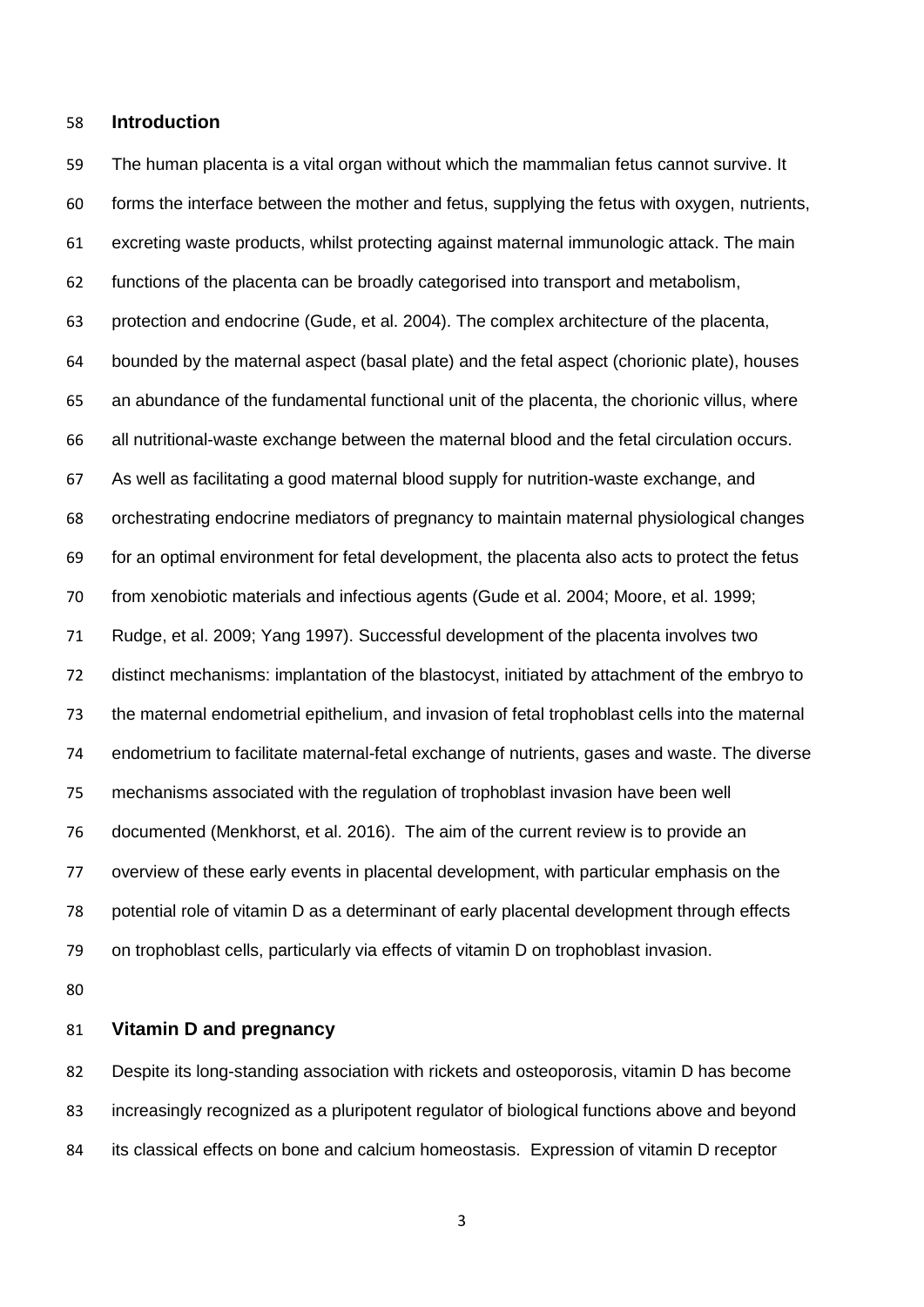#### **Introduction**

 The human placenta is a vital organ without which the mammalian fetus cannot survive. It forms the interface between the mother and fetus, supplying the fetus with oxygen, nutrients, excreting waste products, whilst protecting against maternal immunologic attack. The main functions of the placenta can be broadly categorised into transport and metabolism, protection and endocrine (Gude, et al. 2004). The complex architecture of the placenta, bounded by the maternal aspect (basal plate) and the fetal aspect (chorionic plate), houses an abundance of the fundamental functional unit of the placenta, the chorionic villus, where all nutritional-waste exchange between the maternal blood and the fetal circulation occurs. As well as facilitating a good maternal blood supply for nutrition-waste exchange, and orchestrating endocrine mediators of pregnancy to maintain maternal physiological changes for an optimal environment for fetal development, the placenta also acts to protect the fetus from xenobiotic materials and infectious agents (Gude et al. 2004; Moore, et al. 1999; Rudge, et al. 2009; Yang 1997). Successful development of the placenta involves two distinct mechanisms: implantation of the blastocyst, initiated by attachment of the embryo to the maternal endometrial epithelium, and invasion of fetal trophoblast cells into the maternal endometrium to facilitate maternal-fetal exchange of nutrients, gases and waste. The diverse mechanisms associated with the regulation of trophoblast invasion have been well documented (Menkhorst, et al. 2016). The aim of the current review is to provide an overview of these early events in placental development, with particular emphasis on the potential role of vitamin D as a determinant of early placental development through effects on trophoblast cells, particularly via effects of vitamin D on trophoblast invasion.

## **Vitamin D and pregnancy**

 Despite its long-standing association with rickets and osteoporosis, vitamin D has become increasingly recognized as a pluripotent regulator of biological functions above and beyond its classical effects on bone and calcium homeostasis. Expression of vitamin D receptor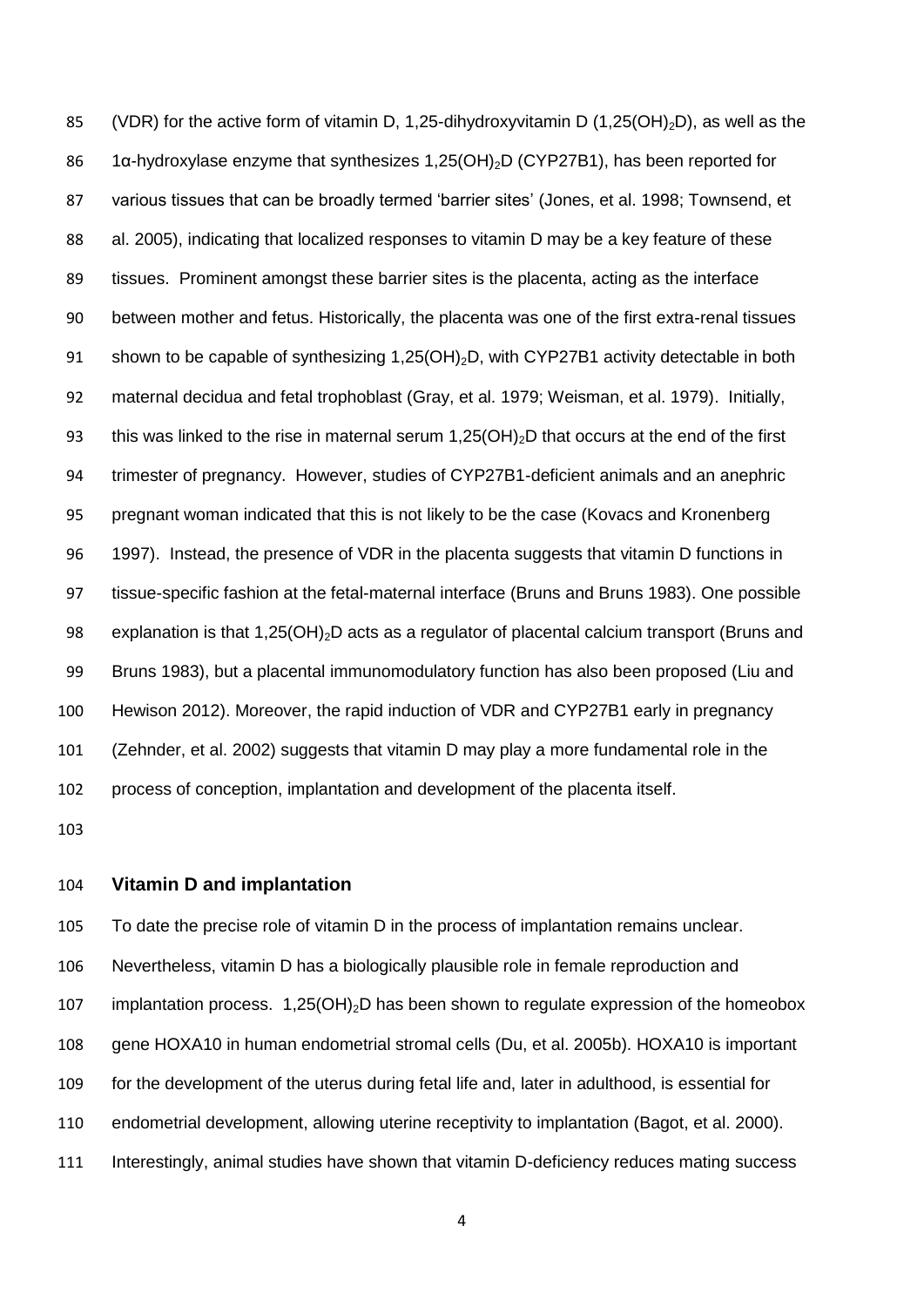85 (VDR) for the active form of vitamin D, 1,25-dihydroxyvitamin D (1,25(OH)<sub>2</sub>D), as well as the 86 1α-hydroxylase enzyme that synthesizes 1,25(OH)<sub>2</sub>D (CYP27B1), has been reported for various tissues that can be broadly termed 'barrier sites' (Jones, et al. 1998; Townsend, et al. 2005), indicating that localized responses to vitamin D may be a key feature of these tissues. Prominent amongst these barrier sites is the placenta, acting as the interface between mother and fetus. Historically, the placenta was one of the first extra-renal tissues 91 shown to be capable of synthesizing  $1,25(OH)_2D$ , with CYP27B1 activity detectable in both maternal decidua and fetal trophoblast (Gray, et al. 1979; Weisman, et al. 1979). Initially, 93 this was linked to the rise in maternal serum  $1,25(OH)_{2}D$  that occurs at the end of the first trimester of pregnancy. However, studies of CYP27B1-deficient animals and an anephric pregnant woman indicated that this is not likely to be the case (Kovacs and Kronenberg 1997). Instead, the presence of VDR in the placenta suggests that vitamin D functions in tissue-specific fashion at the fetal-maternal interface (Bruns and Bruns 1983). One possible 98 explanation is that 1,25(OH)<sub>2</sub>D acts as a regulator of placental calcium transport (Bruns and Bruns 1983), but a placental immunomodulatory function has also been proposed (Liu and Hewison 2012). Moreover, the rapid induction of VDR and CYP27B1 early in pregnancy (Zehnder, et al. 2002) suggests that vitamin D may play a more fundamental role in the process of conception, implantation and development of the placenta itself.

#### **Vitamin D and implantation**

 To date the precise role of vitamin D in the process of implantation remains unclear. Nevertheless, vitamin D has a biologically plausible role in female reproduction and 107 implantation process.  $1,25(OH)_2D$  has been shown to regulate expression of the homeobox gene HOXA10 in human endometrial stromal cells (Du, et al. 2005b). HOXA10 is important for the development of the uterus during fetal life and, later in adulthood, is essential for endometrial development, allowing uterine receptivity to implantation (Bagot, et al. 2000). 111 Interestingly, animal studies have shown that vitamin D-deficiency reduces mating success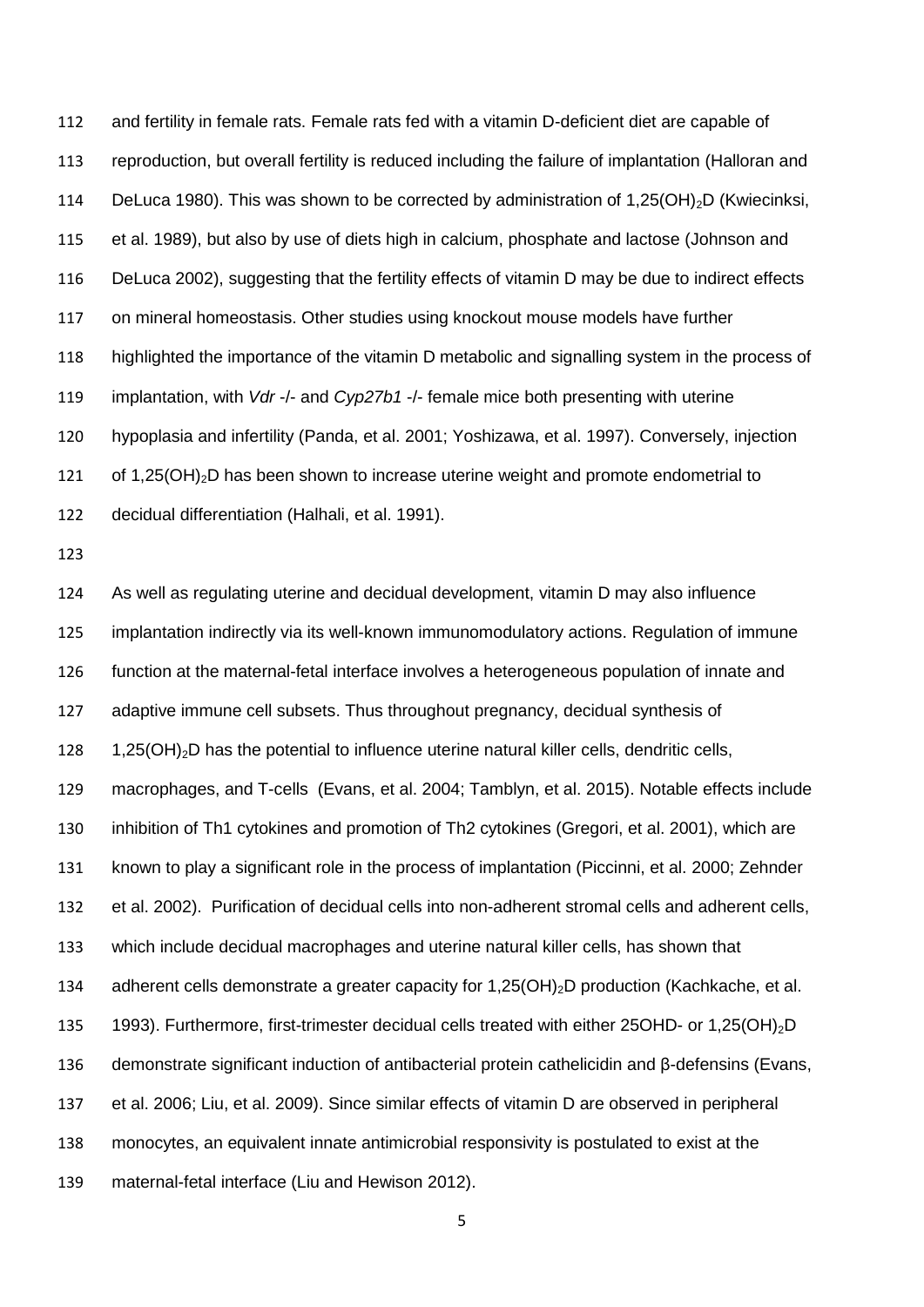and fertility in female rats. Female rats fed with a vitamin D-deficient diet are capable of reproduction, but overall fertility is reduced including the failure of implantation (Halloran and 114 DeLuca 1980). This was shown to be corrected by administration of 1,25(OH)<sub>2</sub>D (Kwiecinksi, et al. 1989), but also by use of diets high in calcium, phosphate and lactose (Johnson and DeLuca 2002), suggesting that the fertility effects of vitamin D may be due to indirect effects on mineral homeostasis. Other studies using knockout mouse models have further highlighted the importance of the vitamin D metabolic and signalling system in the process of implantation, with *Vdr* -/- and *Cyp27b1* -/- female mice both presenting with uterine hypoplasia and infertility (Panda, et al. 2001; Yoshizawa, et al. 1997). Conversely, injection 121 of 1,25(OH)<sub>2</sub>D has been shown to increase uterine weight and promote endometrial to decidual differentiation (Halhali, et al. 1991).

 As well as regulating uterine and decidual development, vitamin D may also influence implantation indirectly via its well-known immunomodulatory actions. Regulation of immune function at the maternal-fetal interface involves a heterogeneous population of innate and adaptive immune cell subsets. Thus throughout pregnancy, decidual synthesis of 128 1,25(OH)<sub>2</sub>D has the potential to influence uterine natural killer cells, dendritic cells, macrophages, and T-cells (Evans, et al. 2004; Tamblyn, et al. 2015). Notable effects include inhibition of Th1 cytokines and promotion of Th2 cytokines (Gregori, et al. 2001), which are known to play a significant role in the process of implantation (Piccinni, et al. 2000; Zehnder et al. 2002). Purification of decidual cells into non-adherent stromal cells and adherent cells, which include decidual macrophages and uterine natural killer cells, has shown that 134 adherent cells demonstrate a greater capacity for 1,25(OH)<sub>2</sub>D production (Kachkache, et al. 135 1993). Furthermore, first-trimester decidual cells treated with either 25OHD- or 1,25(OH)<sub>2</sub>D demonstrate significant induction of antibacterial protein cathelicidin and β-defensins (Evans, et al. 2006; Liu, et al. 2009). Since similar effects of vitamin D are observed in peripheral monocytes, an equivalent innate antimicrobial responsivity is postulated to exist at the maternal-fetal interface (Liu and Hewison 2012).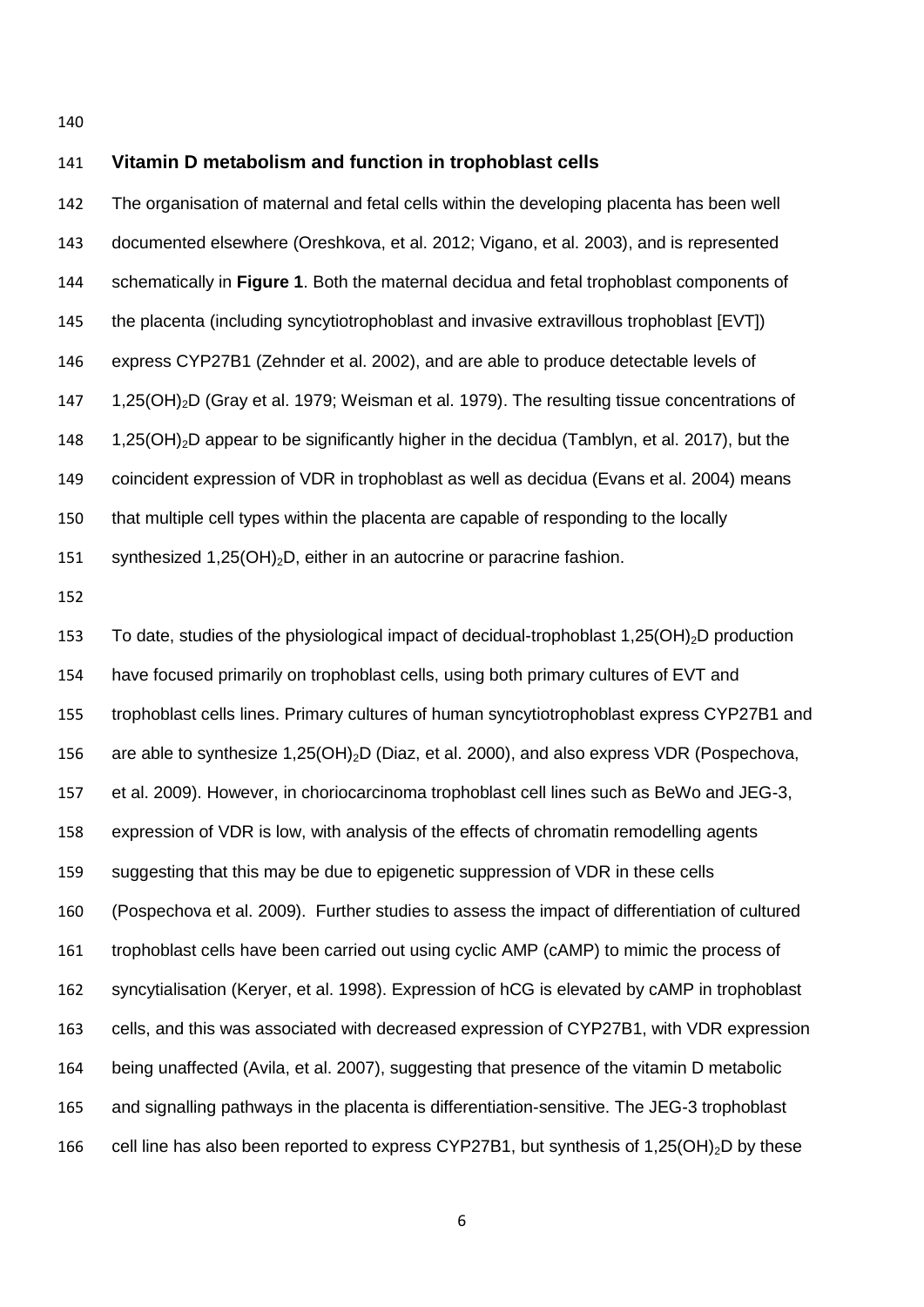# **Vitamin D metabolism and function in trophoblast cells** The organisation of maternal and fetal cells within the developing placenta has been well documented elsewhere (Oreshkova, et al. 2012; Vigano, et al. 2003), and is represented schematically in **Figure 1**. Both the maternal decidua and fetal trophoblast components of the placenta (including syncytiotrophoblast and invasive extravillous trophoblast [EVT]) express CYP27B1 (Zehnder et al. 2002), and are able to produce detectable levels of 147 1.25(OH)<sub>2</sub>D (Gray et al. 1979; Weisman et al. 1979). The resulting tissue concentrations of 148 1.25(OH)<sub>2</sub>D appear to be significantly higher in the decidua (Tamblyn, et al. 2017), but the coincident expression of VDR in trophoblast as well as decidua (Evans et al. 2004) means that multiple cell types within the placenta are capable of responding to the locally 151 synthesized 1,25(OH)<sub>2</sub>D, either in an autocrine or paracrine fashion. 153 To date, studies of the physiological impact of decidual-trophoblast 1,25(OH)<sub>2</sub>D production

 have focused primarily on trophoblast cells, using both primary cultures of EVT and trophoblast cells lines. Primary cultures of human syncytiotrophoblast express CYP27B1 and 156 are able to synthesize 1,25(OH)<sub>2</sub>D (Diaz, et al. 2000), and also express VDR (Pospechova, et al. 2009). However, in choriocarcinoma trophoblast cell lines such as BeWo and JEG-3, expression of VDR is low, with analysis of the effects of chromatin remodelling agents suggesting that this may be due to epigenetic suppression of VDR in these cells (Pospechova et al. 2009). Further studies to assess the impact of differentiation of cultured trophoblast cells have been carried out using cyclic AMP (cAMP) to mimic the process of syncytialisation (Keryer, et al. 1998). Expression of hCG is elevated by cAMP in trophoblast cells, and this was associated with decreased expression of CYP27B1, with VDR expression being unaffected (Avila, et al. 2007), suggesting that presence of the vitamin D metabolic and signalling pathways in the placenta is differentiation-sensitive. The JEG-3 trophoblast 166 cell line has also been reported to express CYP27B1, but synthesis of 1,25(OH)<sub>2</sub>D by these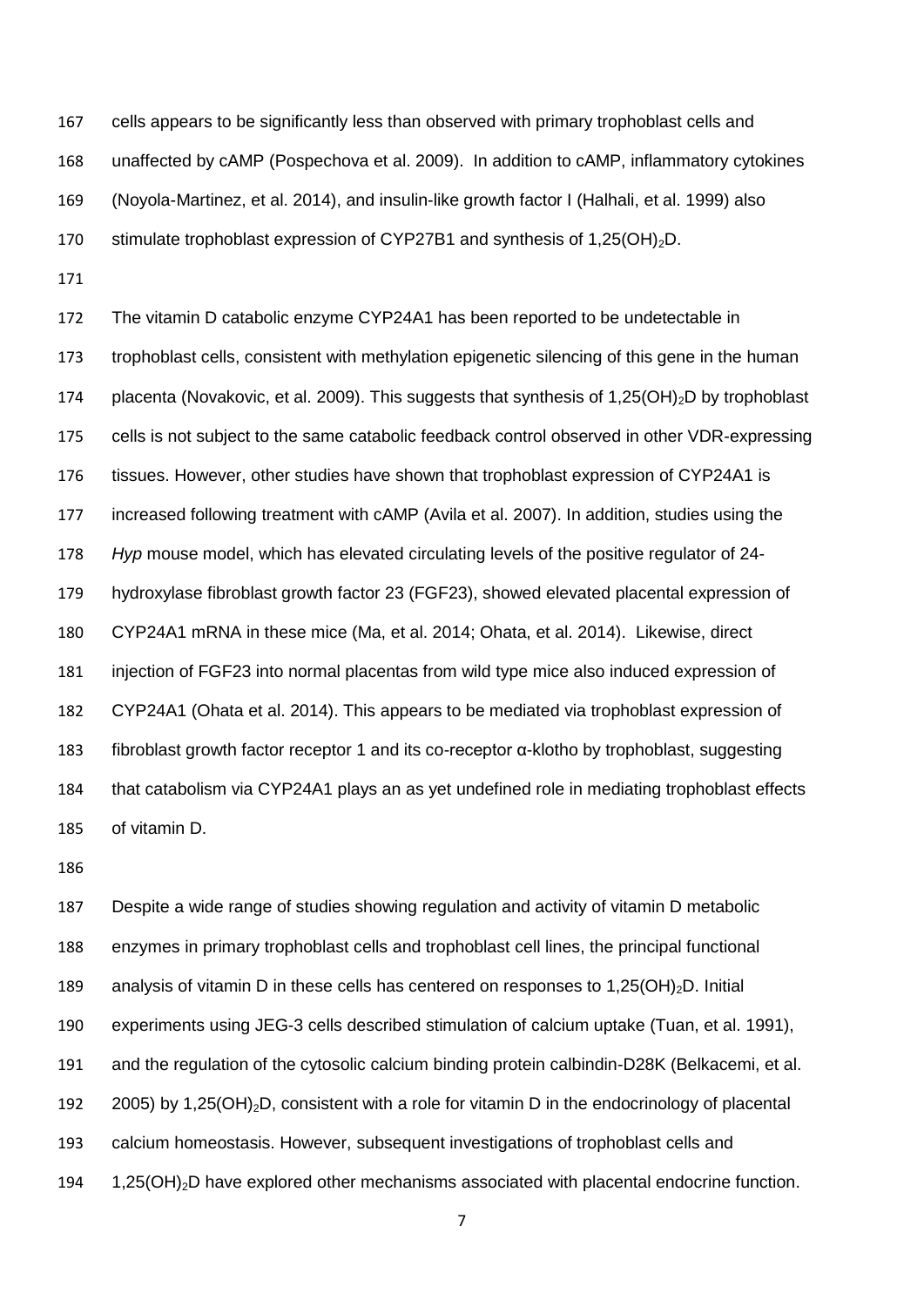cells appears to be significantly less than observed with primary trophoblast cells and unaffected by cAMP (Pospechova et al. 2009). In addition to cAMP, inflammatory cytokines (Noyola-Martinez, et al. 2014), and insulin-like growth factor I (Halhali, et al. 1999) also 170 stimulate trophoblast expression of CYP27B1 and synthesis of  $1,25(OH)<sub>2</sub>D$ .

 The vitamin D catabolic enzyme CYP24A1 has been reported to be undetectable in trophoblast cells, consistent with methylation epigenetic silencing of this gene in the human 174 placenta (Novakovic, et al. 2009). This suggests that synthesis of 1,25(OH)<sub>2</sub>D by trophoblast cells is not subject to the same catabolic feedback control observed in other VDR-expressing tissues. However, other studies have shown that trophoblast expression of CYP24A1 is increased following treatment with cAMP (Avila et al. 2007). In addition, studies using the *Hyp* mouse model, which has elevated circulating levels of the positive regulator of 24- hydroxylase fibroblast growth factor 23 (FGF23), showed elevated placental expression of CYP24A1 mRNA in these mice (Ma, et al. 2014; Ohata, et al. 2014). Likewise, direct injection of FGF23 into normal placentas from wild type mice also induced expression of CYP24A1 (Ohata et al. 2014). This appears to be mediated via trophoblast expression of fibroblast growth factor receptor 1 and its co-receptor α-klotho by trophoblast, suggesting that catabolism via CYP24A1 plays an as yet undefined role in mediating trophoblast effects of vitamin D.

 Despite a wide range of studies showing regulation and activity of vitamin D metabolic enzymes in primary trophoblast cells and trophoblast cell lines, the principal functional 189 analysis of vitamin D in these cells has centered on responses to  $1,25(OH)<sub>2</sub>D$ . Initial experiments using JEG-3 cells described stimulation of calcium uptake (Tuan, et al. 1991), and the regulation of the cytosolic calcium binding protein calbindin-D28K (Belkacemi, et al. 192 2005) by 1,25(OH)<sub>2</sub>D, consistent with a role for vitamin D in the endocrinology of placental calcium homeostasis. However, subsequent investigations of trophoblast cells and 194 1,25(OH)<sub>2</sub>D have explored other mechanisms associated with placental endocrine function.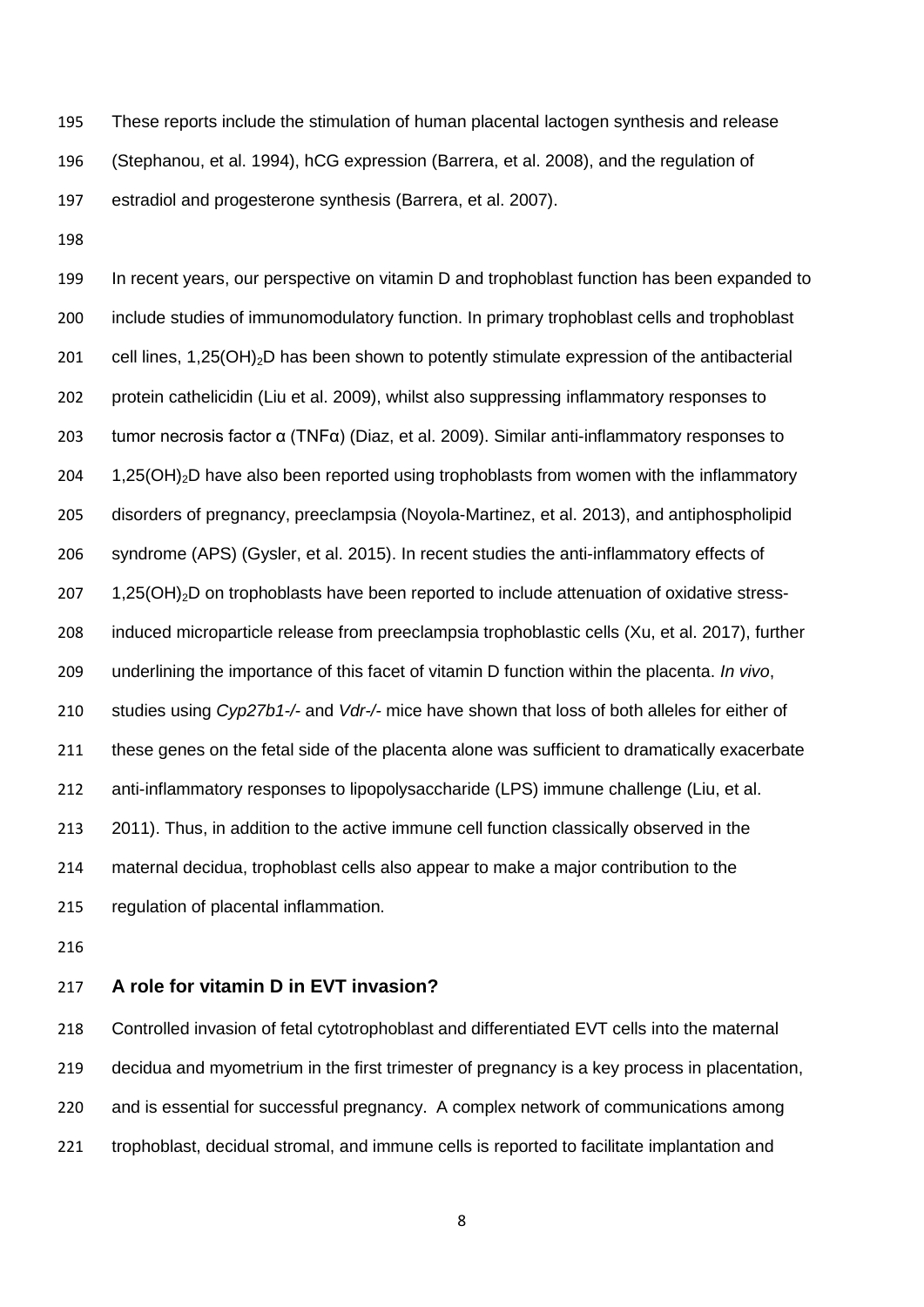These reports include the stimulation of human placental lactogen synthesis and release (Stephanou, et al. 1994), hCG expression (Barrera, et al. 2008), and the regulation of estradiol and progesterone synthesis (Barrera, et al. 2007).

 In recent years, our perspective on vitamin D and trophoblast function has been expanded to include studies of immunomodulatory function. In primary trophoblast cells and trophoblast 201 cell lines,  $1,25(OH)_2D$  has been shown to potently stimulate expression of the antibacterial protein cathelicidin (Liu et al. 2009), whilst also suppressing inflammatory responses to tumor necrosis factor α (TNFα) (Diaz, et al. 2009). Similar anti-inflammatory responses to 204 1,25(OH)<sub>2</sub>D have also been reported using trophoblasts from women with the inflammatory disorders of pregnancy, preeclampsia (Noyola-Martinez, et al. 2013), and antiphospholipid syndrome (APS) (Gysler, et al. 2015). In recent studies the anti-inflammatory effects of 1,25(OH)<sub>2</sub>D on trophoblasts have been reported to include attenuation of oxidative stress- induced microparticle release from preeclampsia trophoblastic cells (Xu, et al. 2017), further underlining the importance of this facet of vitamin D function within the placenta. *In vivo*, studies using *Cyp27b1-/-* and *Vdr-/-* mice have shown that loss of both alleles for either of these genes on the fetal side of the placenta alone was sufficient to dramatically exacerbate anti-inflammatory responses to lipopolysaccharide (LPS) immune challenge (Liu, et al. 2011). Thus, in addition to the active immune cell function classically observed in the maternal decidua, trophoblast cells also appear to make a major contribution to the regulation of placental inflammation.

# **A role for vitamin D in EVT invasion?**

 Controlled invasion of fetal cytotrophoblast and differentiated EVT cells into the maternal decidua and myometrium in the first trimester of pregnancy is a key process in placentation, and is essential for successful pregnancy. A complex network of communications among trophoblast, decidual stromal, and immune cells is reported to facilitate implantation and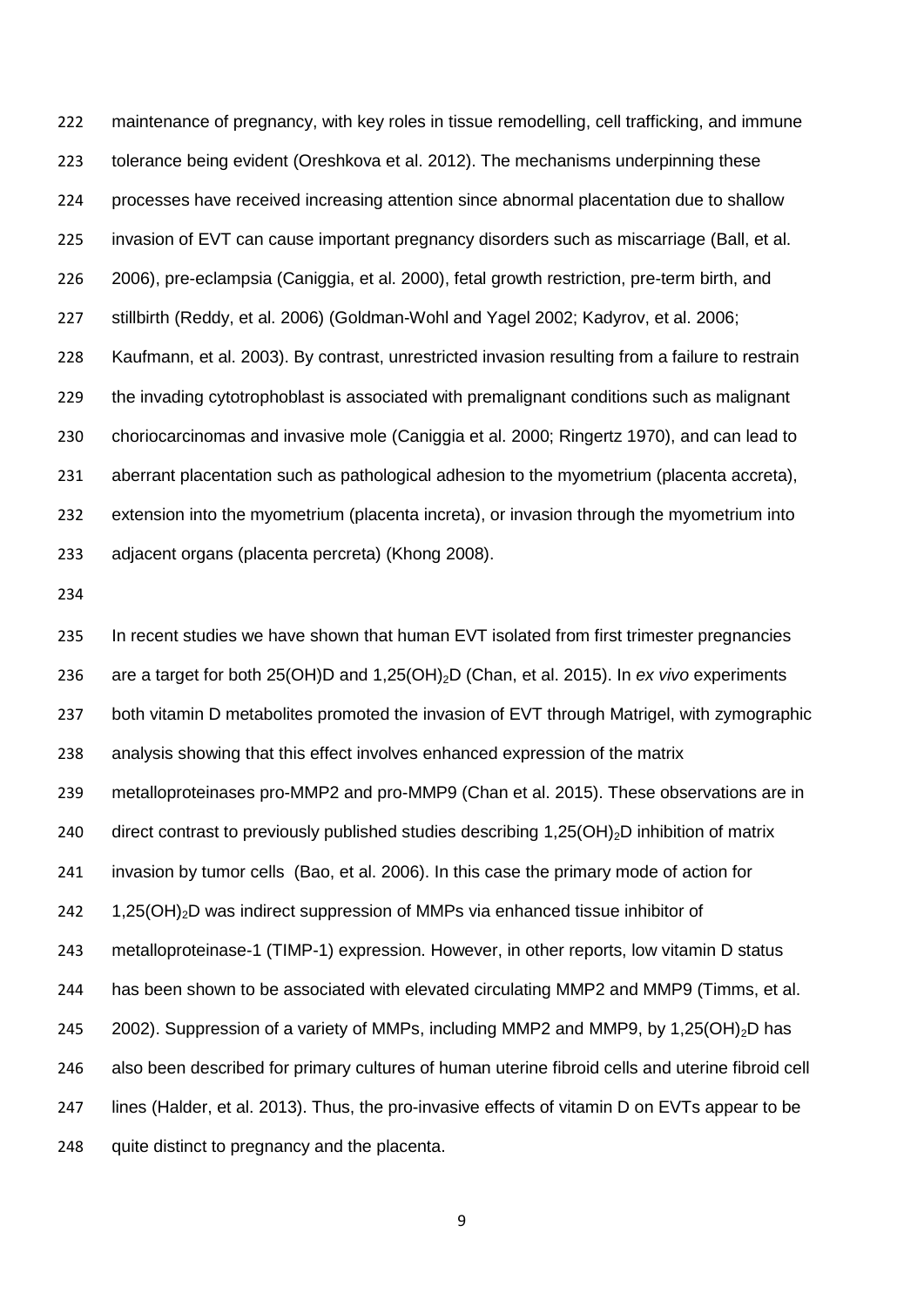maintenance of pregnancy, with key roles in tissue remodelling, cell trafficking, and immune tolerance being evident (Oreshkova et al. 2012). The mechanisms underpinning these processes have received increasing attention since abnormal placentation due to shallow invasion of EVT can cause important pregnancy disorders such as miscarriage (Ball, et al. 2006), pre-eclampsia (Caniggia, et al. 2000), fetal growth restriction, pre-term birth, and stillbirth (Reddy, et al. 2006) (Goldman-Wohl and Yagel 2002; Kadyrov, et al. 2006; Kaufmann, et al. 2003). By contrast, unrestricted invasion resulting from a failure to restrain the invading cytotrophoblast is associated with premalignant conditions such as malignant choriocarcinomas and invasive mole (Caniggia et al. 2000; Ringertz 1970), and can lead to aberrant placentation such as pathological adhesion to the myometrium (placenta accreta), extension into the myometrium (placenta increta), or invasion through the myometrium into adjacent organs (placenta percreta) (Khong 2008).

235 In recent studies we have shown that human EVT isolated from first trimester pregnancies are a target for both 25(OH)D and 1,25(OH)2D (Chan, et al. 2015). In *ex vivo* experiments 237 both vitamin D metabolites promoted the invasion of EVT through Matrigel, with zymographic analysis showing that this effect involves enhanced expression of the matrix metalloproteinases pro-MMP2 and pro-MMP9 (Chan et al. 2015). These observations are in 240 direct contrast to previously published studies describing  $1,25(OH)_2D$  inhibition of matrix invasion by tumor cells (Bao, et al. 2006). In this case the primary mode of action for 242 1,25(OH)<sub>2</sub>D was indirect suppression of MMPs via enhanced tissue inhibitor of metalloproteinase-1 (TIMP-1) expression. However, in other reports, low vitamin D status has been shown to be associated with elevated circulating MMP2 and MMP9 (Timms, et al. 245 2002). Suppression of a variety of MMPs, including MMP2 and MMP9, by 1,25(OH)<sub>2</sub>D has also been described for primary cultures of human uterine fibroid cells and uterine fibroid cell lines (Halder, et al. 2013). Thus, the pro-invasive effects of vitamin D on EVTs appear to be 248 quite distinct to pregnancy and the placenta.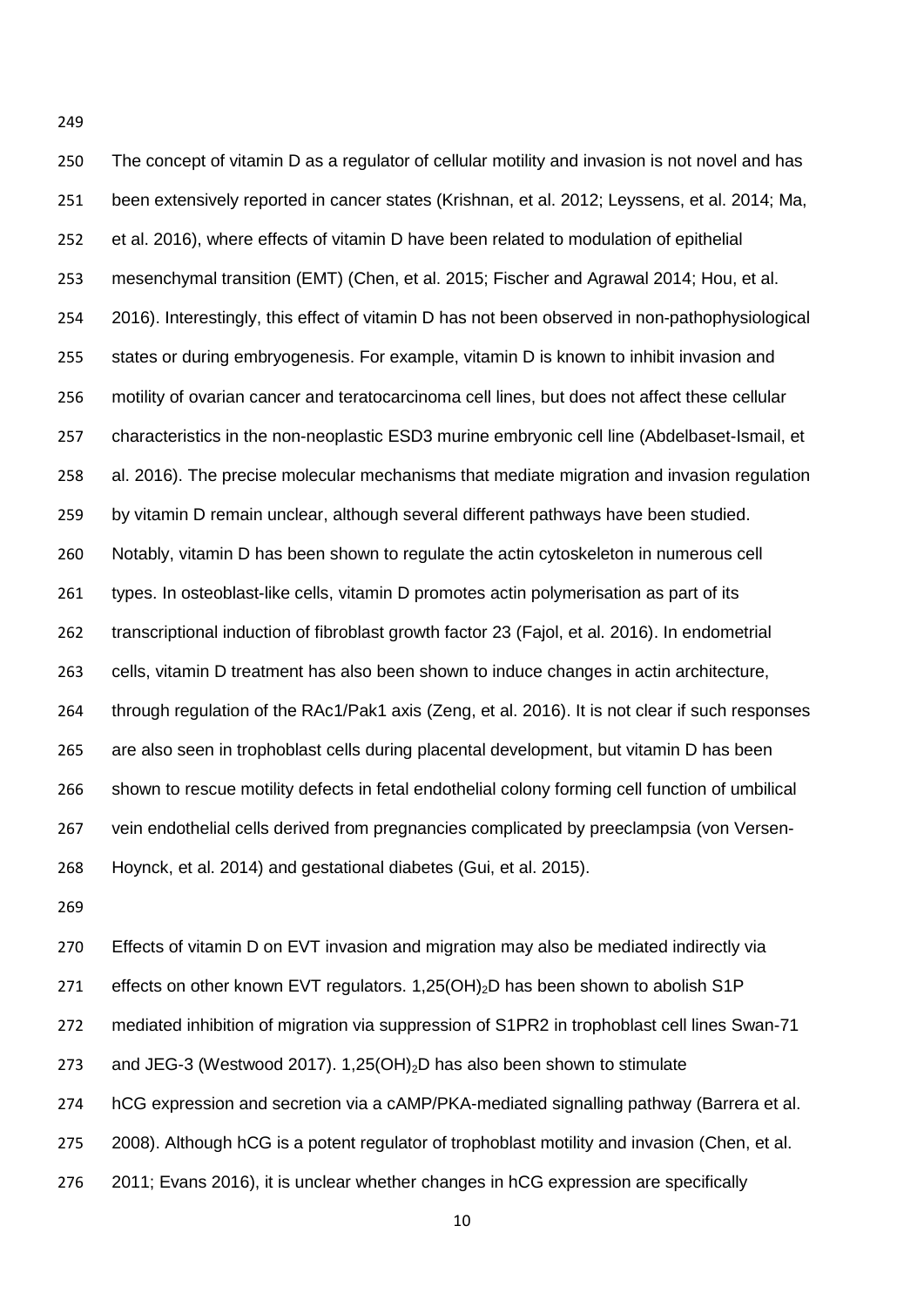The concept of vitamin D as a regulator of cellular motility and invasion is not novel and has been extensively reported in cancer states (Krishnan, et al. 2012; Leyssens, et al. 2014; Ma, et al. 2016), where effects of vitamin D have been related to modulation of epithelial mesenchymal transition (EMT) (Chen, et al. 2015; Fischer and Agrawal 2014; Hou, et al. 2016). Interestingly, this effect of vitamin D has not been observed in non-pathophysiological states or during embryogenesis. For example, vitamin D is known to inhibit invasion and motility of ovarian cancer and teratocarcinoma cell lines, but does not affect these cellular characteristics in the non-neoplastic ESD3 murine embryonic cell line (Abdelbaset-Ismail, et al. 2016). The precise molecular mechanisms that mediate migration and invasion regulation by vitamin D remain unclear, although several different pathways have been studied. Notably, vitamin D has been shown to regulate the actin cytoskeleton in numerous cell types. In osteoblast-like cells, vitamin D promotes actin polymerisation as part of its transcriptional induction of fibroblast growth factor 23 (Fajol, et al. 2016). In endometrial cells, vitamin D treatment has also been shown to induce changes in actin architecture, through regulation of the RAc1/Pak1 axis (Zeng, et al. 2016). It is not clear if such responses are also seen in trophoblast cells during placental development, but vitamin D has been shown to rescue motility defects in fetal endothelial colony forming cell function of umbilical vein endothelial cells derived from pregnancies complicated by preeclampsia (von Versen-Hoynck, et al. 2014) and gestational diabetes (Gui, et al. 2015).

 Effects of vitamin D on EVT invasion and migration may also be mediated indirectly via 271 effects on other known EVT regulators.  $1,25(OH)_2D$  has been shown to abolish S1P mediated inhibition of migration via suppression of S1PR2 in trophoblast cell lines Swan-71 273 and JEG-3 (Westwood 2017). 1,25(OH)<sub>2</sub>D has also been shown to stimulate hCG expression and secretion via a cAMP/PKA-mediated signalling pathway (Barrera et al. 2008). Although hCG is a potent regulator of trophoblast motility and invasion (Chen, et al. 2011; Evans 2016), it is unclear whether changes in hCG expression are specifically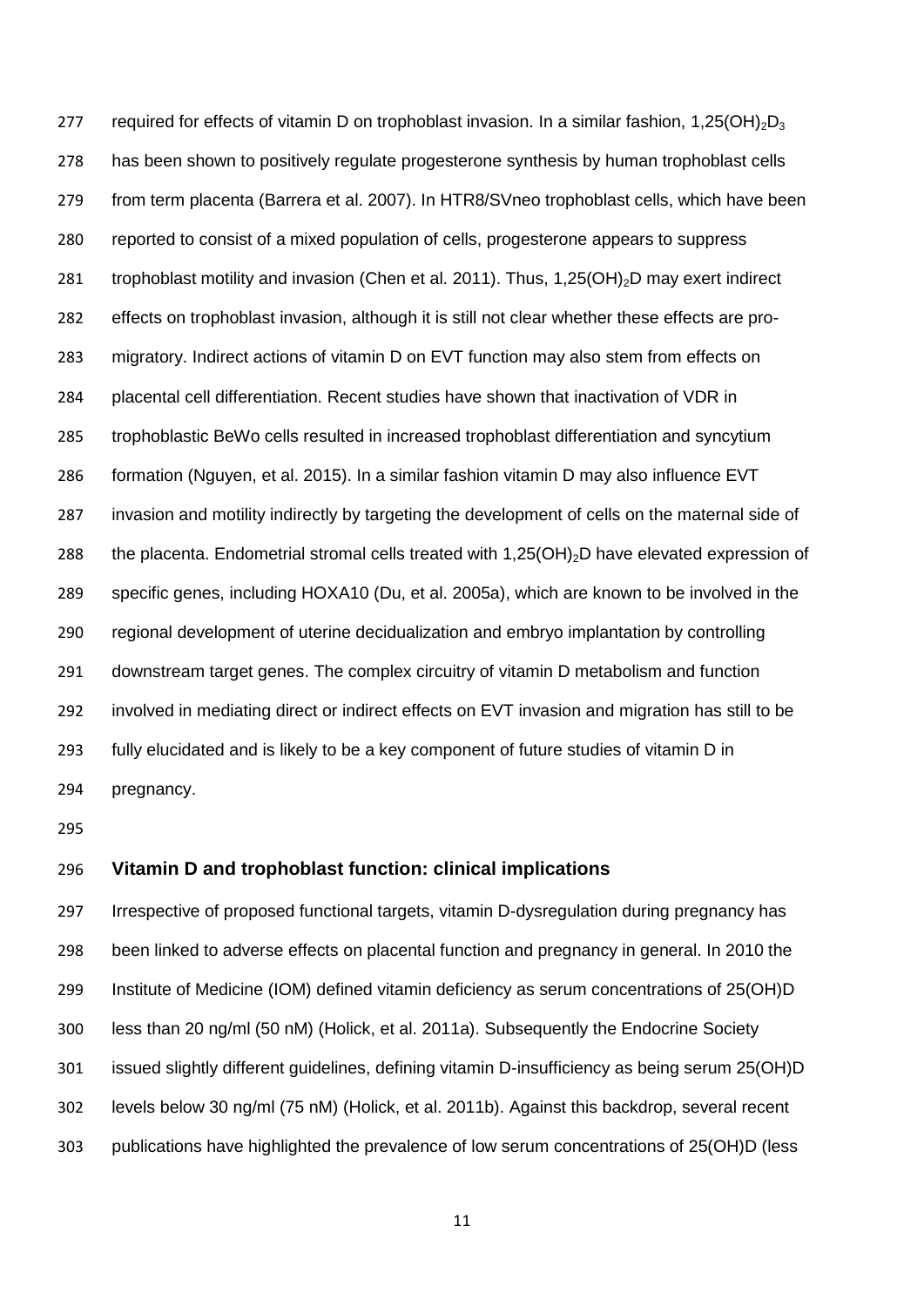277 required for effects of vitamin D on trophoblast invasion. In a similar fashion, 1,25(OH)<sub>2</sub>D<sub>3</sub> has been shown to positively regulate progesterone synthesis by human trophoblast cells from term placenta (Barrera et al. 2007). In HTR8/SVneo trophoblast cells, which have been reported to consist of a mixed population of cells, progesterone appears to suppress 281 trophoblast motility and invasion (Chen et al. 2011). Thus, 1,25(OH) $_2$ D may exert indirect effects on trophoblast invasion, although it is still not clear whether these effects are pro- migratory. Indirect actions of vitamin D on EVT function may also stem from effects on placental cell differentiation. Recent studies have shown that inactivation of VDR in trophoblastic BeWo cells resulted in increased trophoblast differentiation and syncytium formation (Nguyen, et al. 2015). In a similar fashion vitamin D may also influence EVT invasion and motility indirectly by targeting the development of cells on the maternal side of 288 the placenta. Endometrial stromal cells treated with 1,25(OH)<sub>2</sub>D have elevated expression of specific genes, including HOXA10 (Du, et al. 2005a), which are known to be involved in the regional development of uterine decidualization and embryo implantation by controlling downstream target genes. The complex circuitry of vitamin D metabolism and function involved in mediating direct or indirect effects on EVT invasion and migration has still to be fully elucidated and is likely to be a key component of future studies of vitamin D in pregnancy.

## **Vitamin D and trophoblast function: clinical implications**

 Irrespective of proposed functional targets, vitamin D-dysregulation during pregnancy has been linked to adverse effects on placental function and pregnancy in general. In 2010 the Institute of Medicine (IOM) defined vitamin deficiency as serum concentrations of 25(OH)D less than 20 ng/ml (50 nM) (Holick, et al. 2011a). Subsequently the Endocrine Society issued slightly different guidelines, defining vitamin D-insufficiency as being serum 25(OH)D levels below 30 ng/ml (75 nM) (Holick, et al. 2011b). Against this backdrop, several recent publications have highlighted the prevalence of low serum concentrations of 25(OH)D (less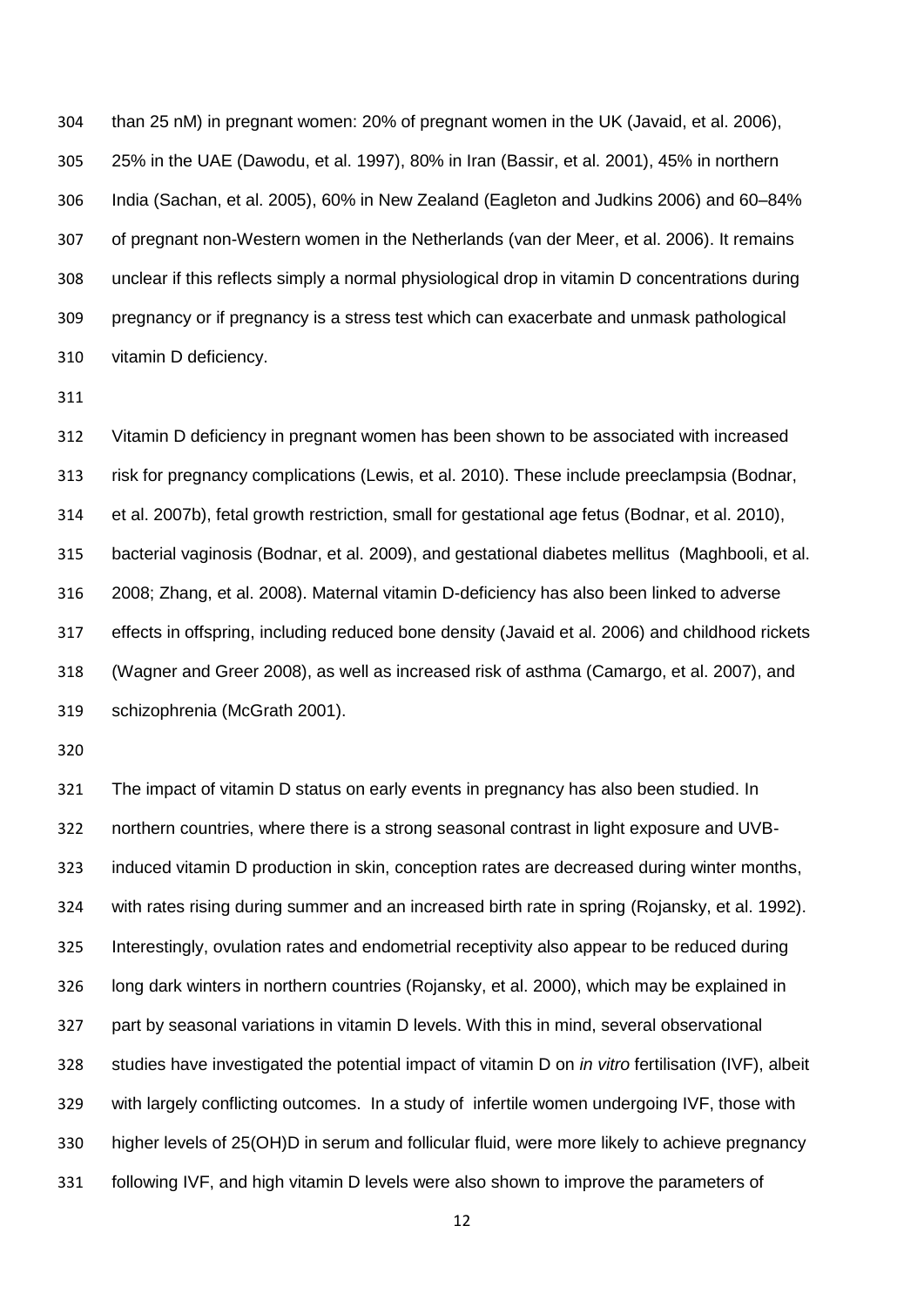than 25 nM) in pregnant women: 20% of pregnant women in the UK (Javaid, et al. 2006), 25% in the UAE (Dawodu, et al. 1997), 80% in Iran (Bassir, et al. 2001), 45% in northern India (Sachan, et al. 2005), 60% in New Zealand (Eagleton and Judkins 2006) and 60–84% of pregnant non-Western women in the Netherlands (van der Meer, et al. 2006). It remains unclear if this reflects simply a normal physiological drop in vitamin D concentrations during pregnancy or if pregnancy is a stress test which can exacerbate and unmask pathological vitamin D deficiency.

 Vitamin D deficiency in pregnant women has been shown to be associated with increased risk for pregnancy complications (Lewis, et al. 2010). These include preeclampsia (Bodnar, et al. 2007b), fetal growth restriction, small for gestational age fetus (Bodnar, et al. 2010), bacterial vaginosis (Bodnar, et al. 2009), and gestational diabetes mellitus (Maghbooli, et al. 2008; Zhang, et al. 2008). Maternal vitamin D-deficiency has also been linked to adverse effects in offspring, including reduced bone density (Javaid et al. 2006) and childhood rickets (Wagner and Greer 2008), as well as increased risk of asthma (Camargo, et al. 2007), and schizophrenia (McGrath 2001).

 The impact of vitamin D status on early events in pregnancy has also been studied. In northern countries, where there is a strong seasonal contrast in light exposure and UVB- induced vitamin D production in skin, conception rates are decreased during winter months, with rates rising during summer and an increased birth rate in spring (Rojansky, et al. 1992). Interestingly, ovulation rates and endometrial receptivity also appear to be reduced during long dark winters in northern countries (Rojansky, et al. 2000), which may be explained in part by seasonal variations in vitamin D levels. With this in mind, several observational studies have investigated the potential impact of vitamin D on *in vitro* fertilisation (IVF), albeit with largely conflicting outcomes. In a study of infertile women undergoing IVF, those with higher levels of 25(OH)D in serum and follicular fluid, were more likely to achieve pregnancy following IVF, and high vitamin D levels were also shown to improve the parameters of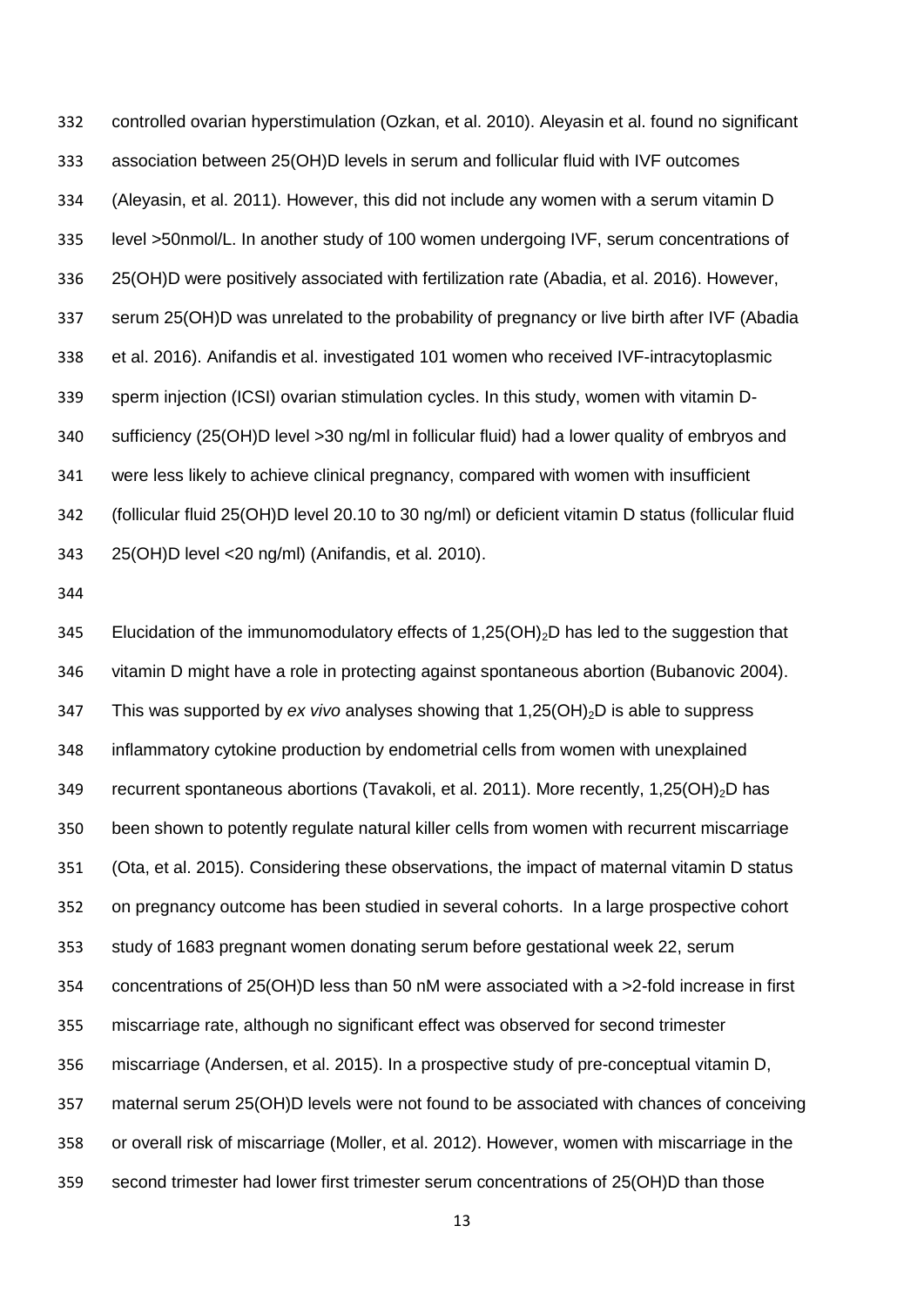controlled ovarian hyperstimulation (Ozkan, et al. 2010). Aleyasin et al. found no significant association between 25(OH)D levels in serum and follicular fluid with IVF outcomes (Aleyasin, et al. 2011). However, this did not include any women with a serum vitamin D level >50nmol/L. In another study of 100 women undergoing IVF, serum concentrations of 25(OH)D were positively associated with fertilization rate (Abadia, et al. 2016). However, serum 25(OH)D was unrelated to the probability of pregnancy or live birth after IVF (Abadia et al. 2016). Anifandis et al. investigated 101 women who received IVF-intracytoplasmic sperm injection (ICSI) ovarian stimulation cycles. In this study, women with vitamin D- sufficiency (25(OH)D level >30 ng/ml in follicular fluid) had a lower quality of embryos and were less likely to achieve clinical pregnancy, compared with women with insufficient (follicular fluid 25(OH)D level 20.10 to 30 ng/ml) or deficient vitamin D status (follicular fluid 25(OH)D level <20 ng/ml) (Anifandis, et al. 2010).

345 Elucidation of the immunomodulatory effects of  $1,25(OH)_{2}D$  has led to the suggestion that vitamin D might have a role in protecting against spontaneous abortion (Bubanovic 2004). 347 This was supported by *ex vivo* analyses showing that 1,25(OH)<sub>2</sub>D is able to suppress inflammatory cytokine production by endometrial cells from women with unexplained 349 recurrent spontaneous abortions (Tavakoli, et al. 2011). More recently, 1,25(OH)<sub>2</sub>D has been shown to potently regulate natural killer cells from women with recurrent miscarriage (Ota, et al. 2015). Considering these observations, the impact of maternal vitamin D status on pregnancy outcome has been studied in several cohorts. In a large prospective cohort study of 1683 pregnant women donating serum before gestational week 22, serum concentrations of 25(OH)D less than 50 nM were associated with a >2-fold increase in first miscarriage rate, although no significant effect was observed for second trimester miscarriage (Andersen, et al. 2015). In a prospective study of pre-conceptual vitamin D, maternal serum 25(OH)D levels were not found to be associated with chances of conceiving or overall risk of miscarriage (Moller, et al. 2012). However, women with miscarriage in the second trimester had lower first trimester serum concentrations of 25(OH)D than those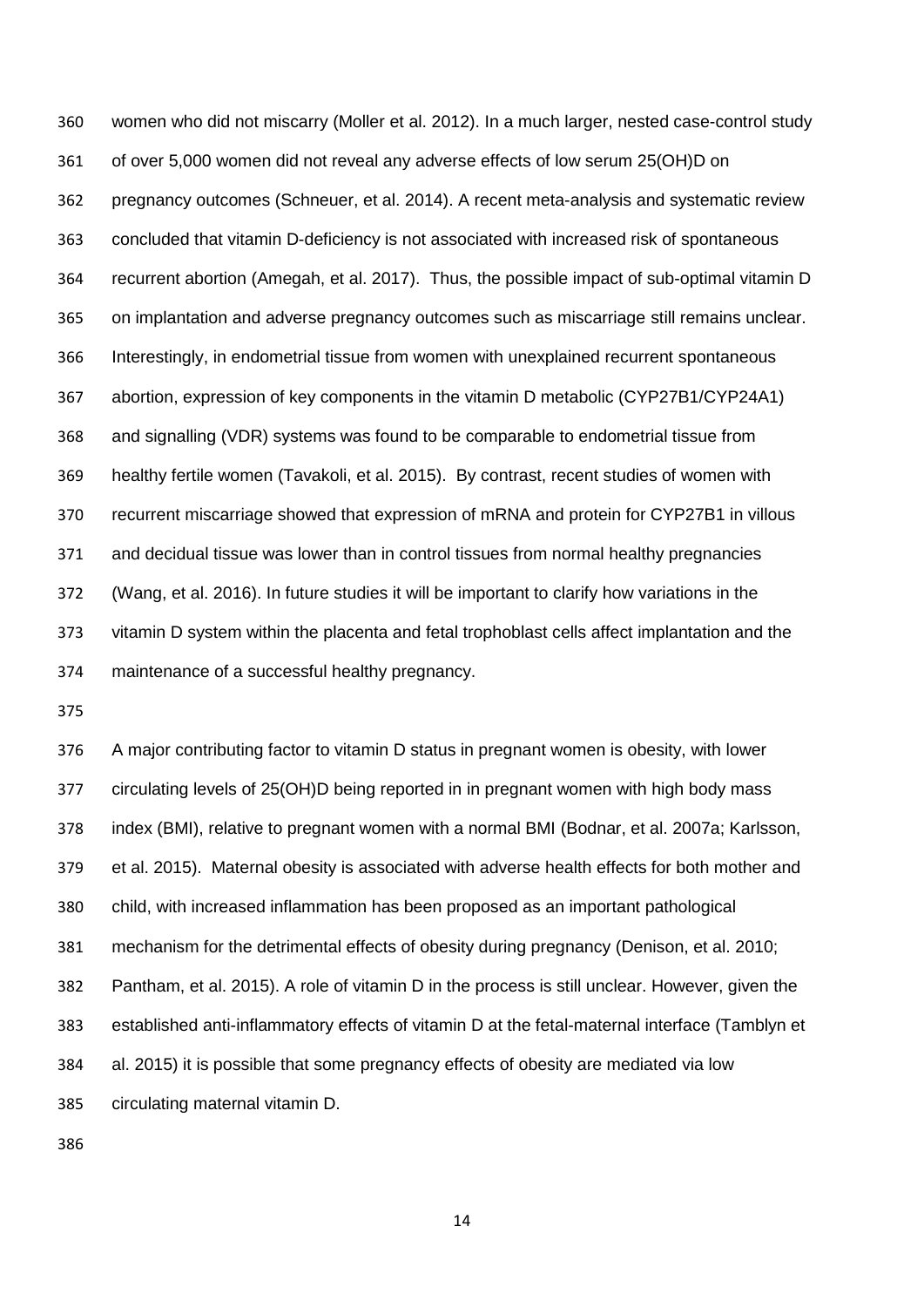women who did not miscarry (Moller et al. 2012). In a much larger, nested case-control study of over 5,000 women did not reveal any adverse effects of low serum 25(OH)D on pregnancy outcomes (Schneuer, et al. 2014). A recent meta-analysis and systematic review concluded that vitamin D-deficiency is not associated with increased risk of spontaneous recurrent abortion (Amegah, et al. 2017). Thus, the possible impact of sub-optimal vitamin D on implantation and adverse pregnancy outcomes such as miscarriage still remains unclear. Interestingly, in endometrial tissue from women with unexplained recurrent spontaneous abortion, expression of key components in the vitamin D metabolic (CYP27B1/CYP24A1) and signalling (VDR) systems was found to be comparable to endometrial tissue from healthy fertile women (Tavakoli, et al. 2015). By contrast, recent studies of women with recurrent miscarriage showed that expression of mRNA and protein for CYP27B1 in villous and decidual tissue was lower than in control tissues from normal healthy pregnancies (Wang, et al. 2016). In future studies it will be important to clarify how variations in the vitamin D system within the placenta and fetal trophoblast cells affect implantation and the maintenance of a successful healthy pregnancy.

 A major contributing factor to vitamin D status in pregnant women is obesity, with lower circulating levels of 25(OH)D being reported in in pregnant women with high body mass index (BMI), relative to pregnant women with a normal BMI (Bodnar, et al. 2007a; Karlsson, et al. 2015). Maternal obesity is associated with adverse health effects for both mother and child, with increased inflammation has been proposed as an important pathological mechanism for the detrimental effects of obesity during pregnancy (Denison, et al. 2010; Pantham, et al. 2015). A role of vitamin D in the process is still unclear. However, given the established anti-inflammatory effects of vitamin D at the fetal-maternal interface (Tamblyn et al. 2015) it is possible that some pregnancy effects of obesity are mediated via low circulating maternal vitamin D.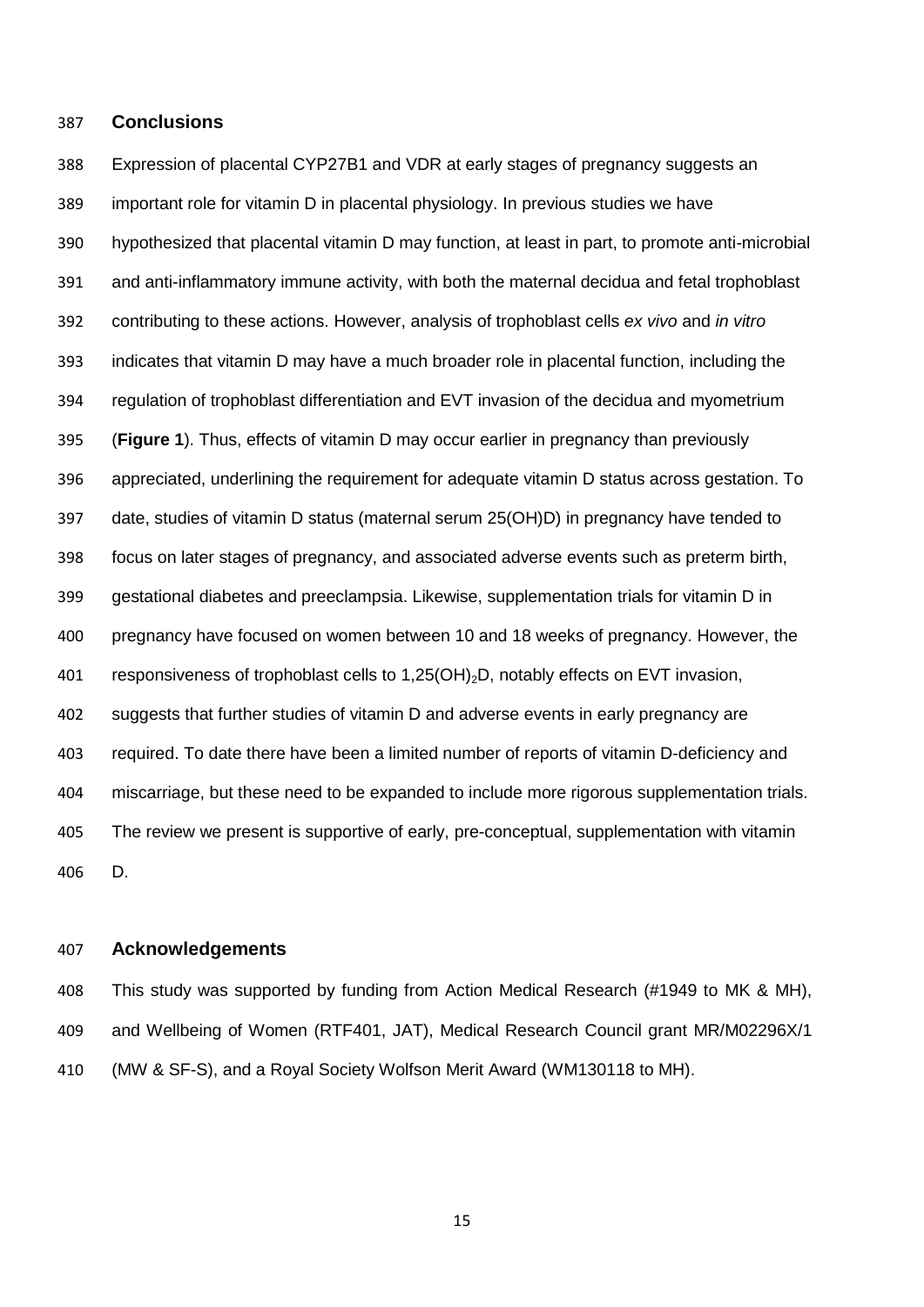#### **Conclusions**

 Expression of placental CYP27B1 and VDR at early stages of pregnancy suggests an important role for vitamin D in placental physiology. In previous studies we have hypothesized that placental vitamin D may function, at least in part, to promote anti-microbial and anti-inflammatory immune activity, with both the maternal decidua and fetal trophoblast contributing to these actions. However, analysis of trophoblast cells *ex vivo* and *in vitro* indicates that vitamin D may have a much broader role in placental function, including the regulation of trophoblast differentiation and EVT invasion of the decidua and myometrium (**Figure 1**). Thus, effects of vitamin D may occur earlier in pregnancy than previously appreciated, underlining the requirement for adequate vitamin D status across gestation. To date, studies of vitamin D status (maternal serum 25(OH)D) in pregnancy have tended to focus on later stages of pregnancy, and associated adverse events such as preterm birth, gestational diabetes and preeclampsia. Likewise, supplementation trials for vitamin D in pregnancy have focused on women between 10 and 18 weeks of pregnancy. However, the 401 responsiveness of trophoblast cells to 1.25(OH)<sub>2</sub>D, notably effects on EVT invasion, suggests that further studies of vitamin D and adverse events in early pregnancy are required. To date there have been a limited number of reports of vitamin D-deficiency and miscarriage, but these need to be expanded to include more rigorous supplementation trials. The review we present is supportive of early, pre-conceptual, supplementation with vitamin D.

#### **Acknowledgements**

 This study was supported by funding from Action Medical Research (#1949 to MK & MH), and Wellbeing of Women (RTF401, JAT), Medical Research Council grant MR/M02296X/1 (MW & SF-S), and a Royal Society Wolfson Merit Award (WM130118 to MH).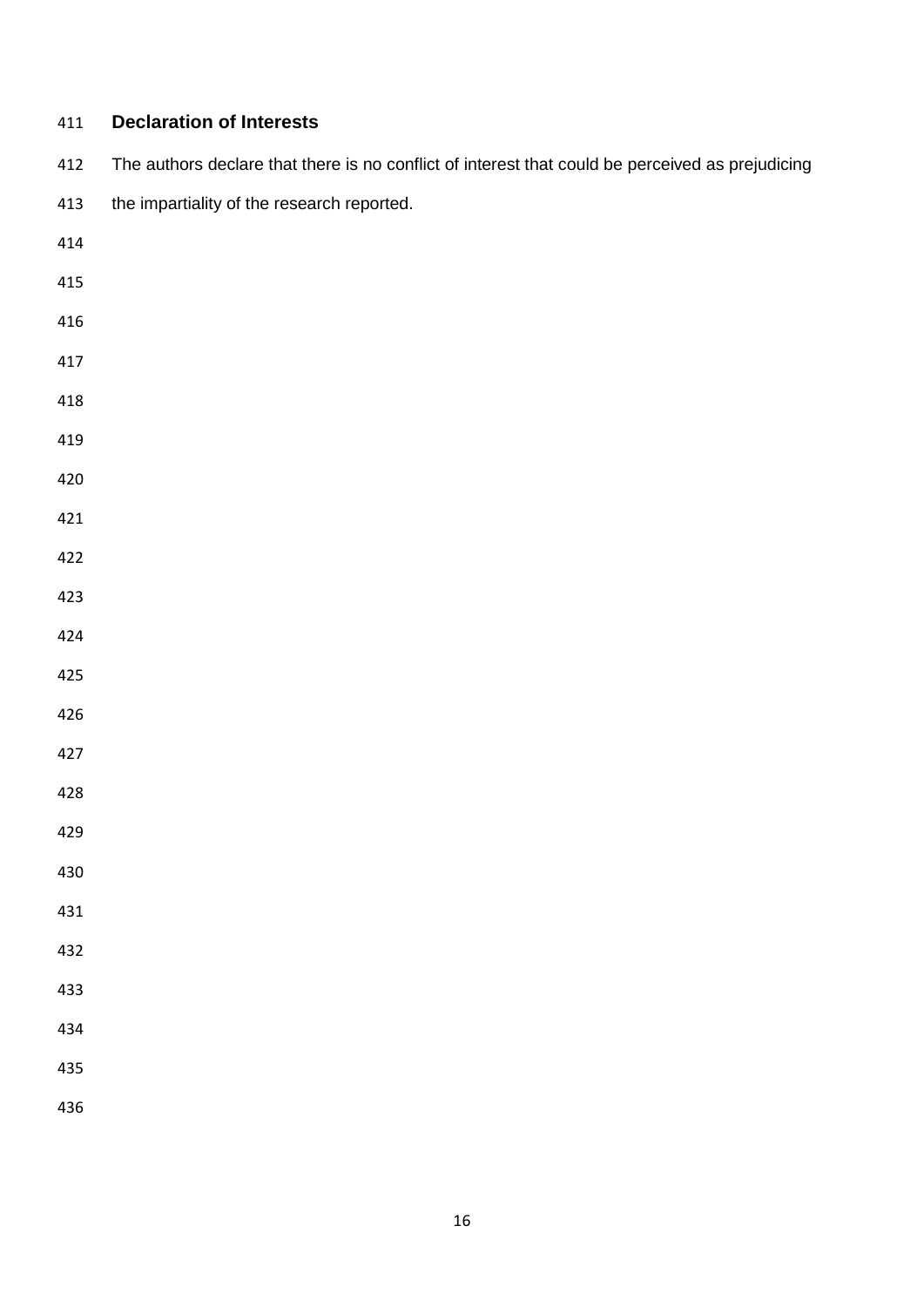| 411 | <b>Declaration of Interests</b>                                                                  |
|-----|--------------------------------------------------------------------------------------------------|
| 412 | The authors declare that there is no conflict of interest that could be perceived as prejudicing |
| 413 | the impartiality of the research reported.                                                       |
| 414 |                                                                                                  |
| 415 |                                                                                                  |
| 416 |                                                                                                  |
| 417 |                                                                                                  |
| 418 |                                                                                                  |
| 419 |                                                                                                  |
| 420 |                                                                                                  |
| 421 |                                                                                                  |
| 422 |                                                                                                  |
| 423 |                                                                                                  |
| 424 |                                                                                                  |
| 425 |                                                                                                  |
| 426 |                                                                                                  |
| 427 |                                                                                                  |
| 428 |                                                                                                  |
| 429 |                                                                                                  |
| 430 |                                                                                                  |
| 431 |                                                                                                  |
| 432 |                                                                                                  |
| 433 |                                                                                                  |
| 434 |                                                                                                  |
| 435 |                                                                                                  |
| 436 |                                                                                                  |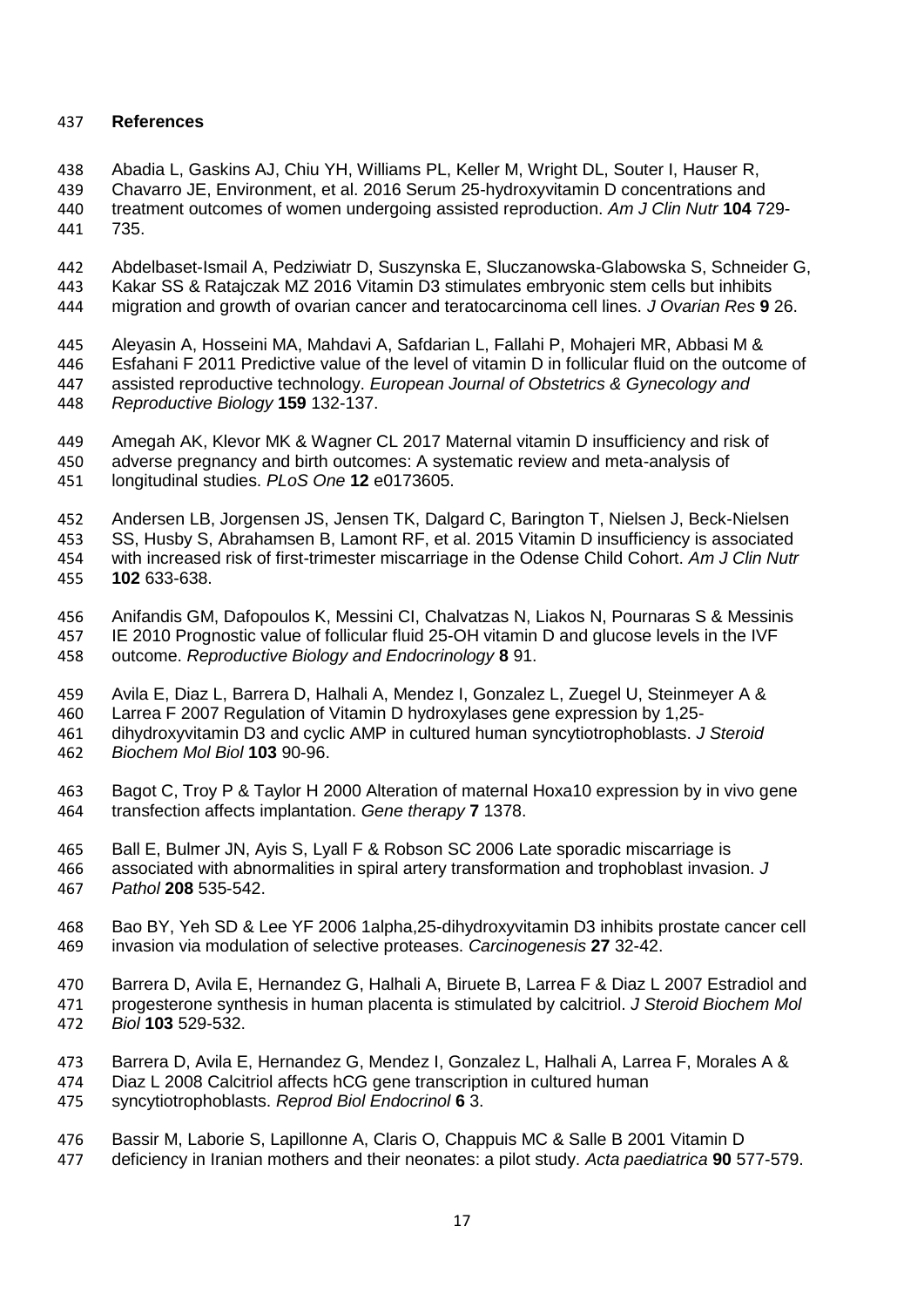## **References**

 Abadia L, Gaskins AJ, Chiu YH, Williams PL, Keller M, Wright DL, Souter I, Hauser R, Chavarro JE, Environment, et al. 2016 Serum 25-hydroxyvitamin D concentrations and treatment outcomes of women undergoing assisted reproduction. *Am J Clin Nutr* **104** 729- 735.

 Abdelbaset-Ismail A, Pedziwiatr D, Suszynska E, Sluczanowska-Glabowska S, Schneider G, Kakar SS & Ratajczak MZ 2016 Vitamin D3 stimulates embryonic stem cells but inhibits migration and growth of ovarian cancer and teratocarcinoma cell lines. *J Ovarian Res* **9** 26.

 Aleyasin A, Hosseini MA, Mahdavi A, Safdarian L, Fallahi P, Mohajeri MR, Abbasi M & Esfahani F 2011 Predictive value of the level of vitamin D in follicular fluid on the outcome of assisted reproductive technology. *European Journal of Obstetrics & Gynecology and Reproductive Biology* **159** 132-137.

 Amegah AK, Klevor MK & Wagner CL 2017 Maternal vitamin D insufficiency and risk of adverse pregnancy and birth outcomes: A systematic review and meta-analysis of longitudinal studies. *PLoS One* **12** e0173605.

452 Andersen LB, Jorgensen JS, Jensen TK, Dalgard C, Barington T, Nielsen J, Beck-Nielsen<br>453 SS, Husby S, Abrahamsen B, Lamont RF, et al. 2015 Vitamin D insufficiency is associated SS, Husby S, Abrahamsen B, Lamont RF, et al. 2015 Vitamin D insufficiency is associated with increased risk of first-trimester miscarriage in the Odense Child Cohort. *Am J Clin Nutr* **102** 633-638.

 Anifandis GM, Dafopoulos K, Messini CI, Chalvatzas N, Liakos N, Pournaras S & Messinis 457 IE 2010 Prognostic value of follicular fluid 25-OH vitamin D and glucose levels in the IVF<br>458 outcome. Reproductive Biology and Endocrinology 8 91. outcome. *Reproductive Biology and Endocrinology* **8** 91.

 Avila E, Diaz L, Barrera D, Halhali A, Mendez I, Gonzalez L, Zuegel U, Steinmeyer A & Larrea F 2007 Regulation of Vitamin D hydroxylases gene expression by 1,25-

dihydroxyvitamin D3 and cyclic AMP in cultured human syncytiotrophoblasts. *J Steroid* 

*Biochem Mol Biol* **103** 90-96.

 Bagot C, Troy P & Taylor H 2000 Alteration of maternal Hoxa10 expression by in vivo gene transfection affects implantation. *Gene therapy* **7** 1378.

 Ball E, Bulmer JN, Ayis S, Lyall F & Robson SC 2006 Late sporadic miscarriage is associated with abnormalities in spiral artery transformation and trophoblast invasion. *J Pathol* **208** 535-542.

- Bao BY, Yeh SD & Lee YF 2006 1alpha,25-dihydroxyvitamin D3 inhibits prostate cancer cell invasion via modulation of selective proteases. *Carcinogenesis* **27** 32-42.
- Barrera D, Avila E, Hernandez G, Halhali A, Biruete B, Larrea F & Diaz L 2007 Estradiol and progesterone synthesis in human placenta is stimulated by calcitriol. *J Steroid Biochem Mol Biol* **103** 529-532.
- Barrera D, Avila E, Hernandez G, Mendez I, Gonzalez L, Halhali A, Larrea F, Morales A &
- Diaz L 2008 Calcitriol affects hCG gene transcription in cultured human
- syncytiotrophoblasts. *Reprod Biol Endocrinol* **6** 3.
- Bassir M, Laborie S, Lapillonne A, Claris O, Chappuis MC & Salle B 2001 Vitamin D
- deficiency in Iranian mothers and their neonates: a pilot study. *Acta paediatrica* **90** 577-579.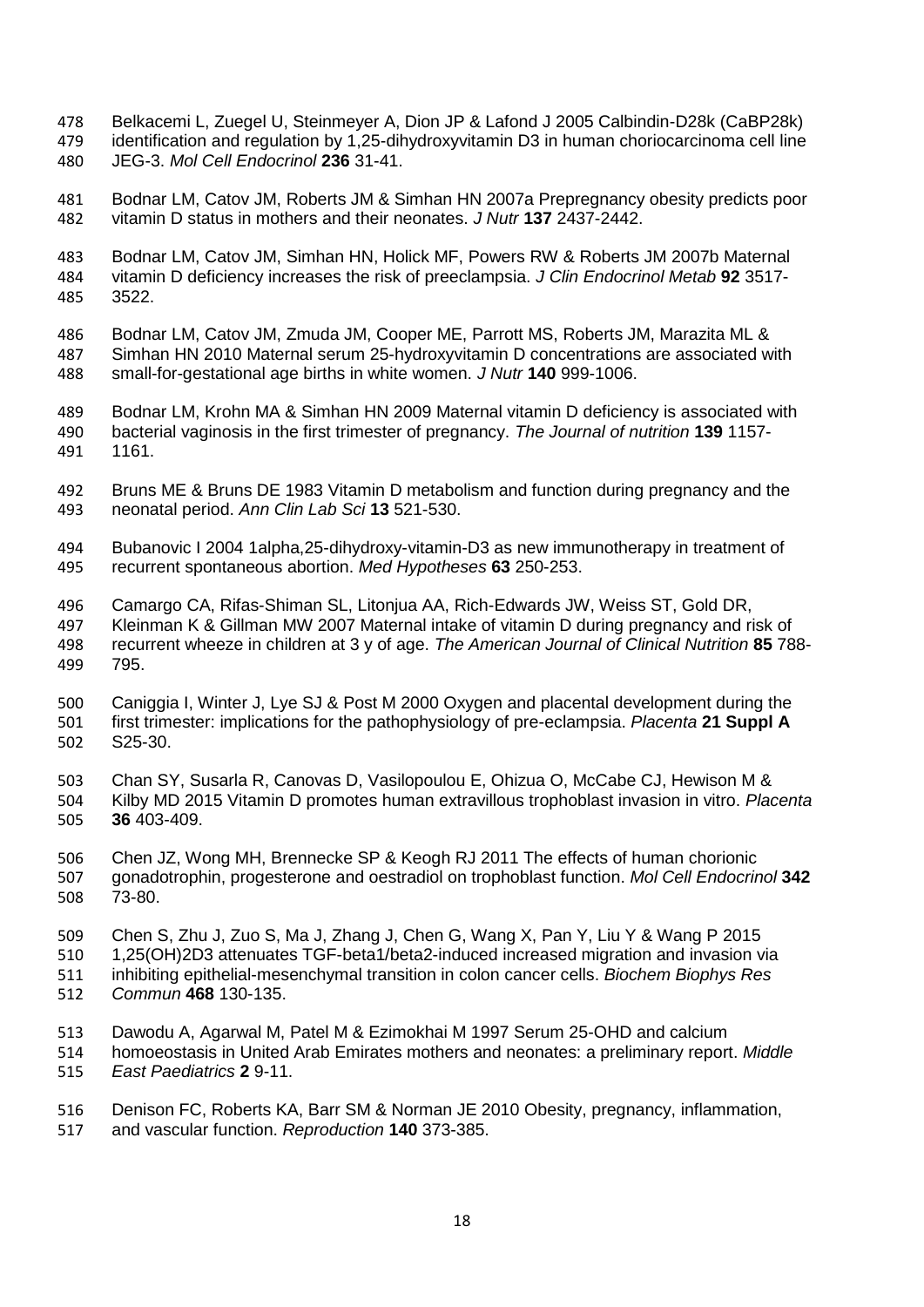- Belkacemi L, Zuegel U, Steinmeyer A, Dion JP & Lafond J 2005 Calbindin-D28k (CaBP28k) identification and regulation by 1,25-dihydroxyvitamin D3 in human choriocarcinoma cell line JEG-3. *Mol Cell Endocrinol* **236** 31-41.
- Bodnar LM, Catov JM, Roberts JM & Simhan HN 2007a Prepregnancy obesity predicts poor vitamin D status in mothers and their neonates. *J Nutr* **137** 2437-2442.
- Bodnar LM, Catov JM, Simhan HN, Holick MF, Powers RW & Roberts JM 2007b Maternal vitamin D deficiency increases the risk of preeclampsia. *J Clin Endocrinol Metab* **92** 3517- 3522.
- Bodnar LM, Catov JM, Zmuda JM, Cooper ME, Parrott MS, Roberts JM, Marazita ML & Simhan HN 2010 Maternal serum 25-hydroxyvitamin D concentrations are associated with small-for-gestational age births in white women. *J Nutr* **140** 999-1006.
- Bodnar LM, Krohn MA & Simhan HN 2009 Maternal vitamin D deficiency is associated with bacterial vaginosis in the first trimester of pregnancy. *The Journal of nutrition* **139** 1157- 1161.
- Bruns ME & Bruns DE 1983 Vitamin D metabolism and function during pregnancy and the neonatal period. *Ann Clin Lab Sci* **13** 521-530.
- Bubanovic I 2004 1alpha,25-dihydroxy-vitamin-D3 as new immunotherapy in treatment of recurrent spontaneous abortion. *Med Hypotheses* **63** 250-253.
- 496 Camargo CA, Rifas-Shiman SL, Litonjua AA, Rich-Edwards JW, Weiss ST, Gold DR, 497 Kleinman K & Gillman MW 2007 Maternal intake of vitamin D during pregnancy and ri Kleinman K & Gillman MW 2007 Maternal intake of vitamin D during pregnancy and risk of recurrent wheeze in children at 3 y of age. *The American Journal of Clinical Nutrition* **85** 788- 795.
- Caniggia I, Winter J, Lye SJ & Post M 2000 Oxygen and placental development during the first trimester: implications for the pathophysiology of pre-eclampsia. *Placenta* **21 Suppl A** S25-30.
- Chan SY, Susarla R, Canovas D, Vasilopoulou E, Ohizua O, McCabe CJ, Hewison M & Kilby MD 2015 Vitamin D promotes human extravillous trophoblast invasion in vitro. *Placenta* **36** 403-409.
- Chen JZ, Wong MH, Brennecke SP & Keogh RJ 2011 The effects of human chorionic gonadotrophin, progesterone and oestradiol on trophoblast function. *Mol Cell Endocrinol* **342** 73-80.
- Chen S, Zhu J, Zuo S, Ma J, Zhang J, Chen G, Wang X, Pan Y, Liu Y & Wang P 2015 1,25(OH)2D3 attenuates TGF-beta1/beta2-induced increased migration and invasion via
- inhibiting epithelial-mesenchymal transition in colon cancer cells. *Biochem Biophys Res Commun* **468** 130-135.
- Dawodu A, Agarwal M, Patel M & Ezimokhai M 1997 Serum 25-OHD and calcium
- homoeostasis in United Arab Emirates mothers and neonates: a preliminary report. *Middle East Paediatrics* **2** 9-11.
- Denison FC, Roberts KA, Barr SM & Norman JE 2010 Obesity, pregnancy, inflammation, and vascular function. *Reproduction* **140** 373-385.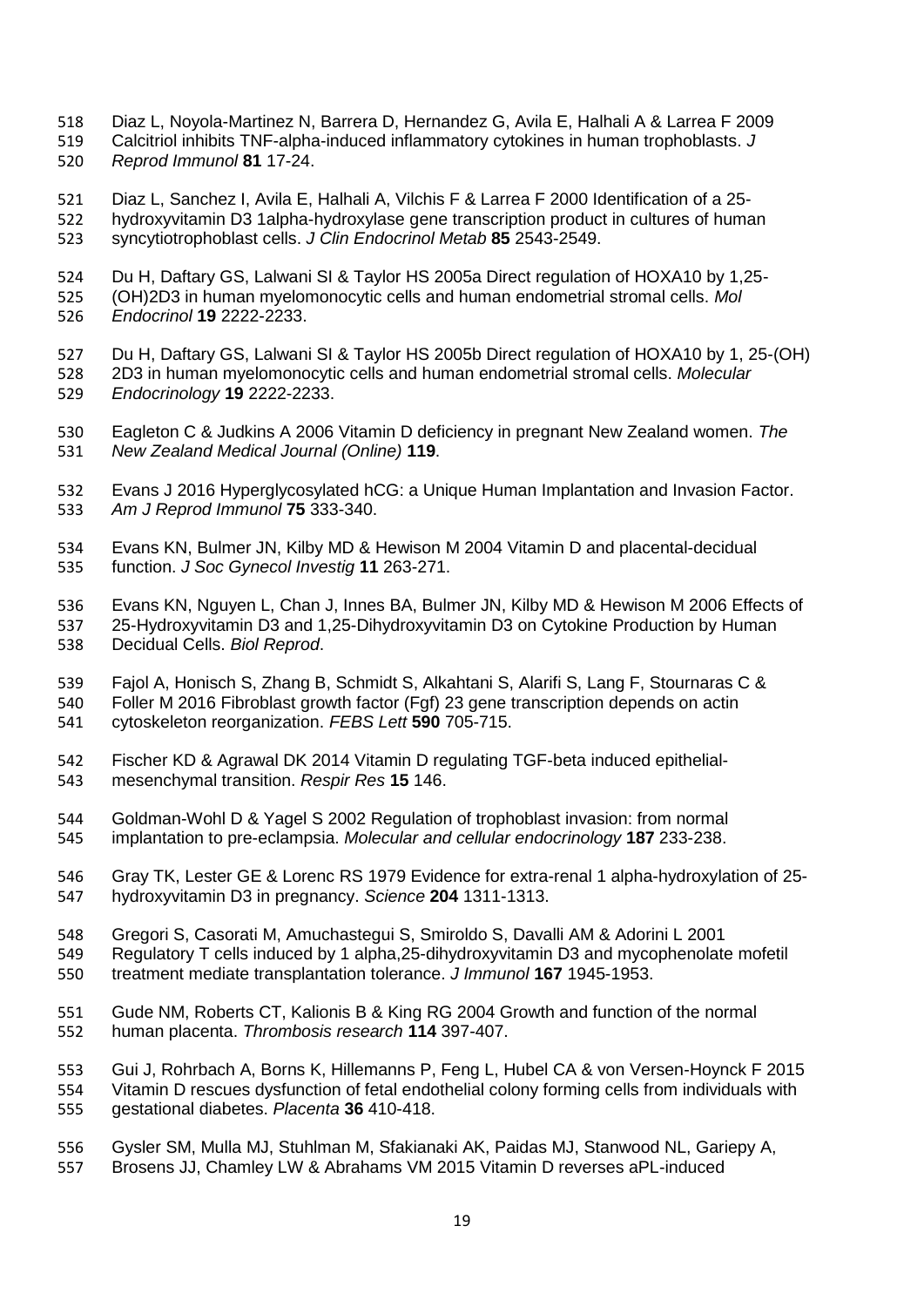- Diaz L, Noyola-Martinez N, Barrera D, Hernandez G, Avila E, Halhali A & Larrea F 2009
- Calcitriol inhibits TNF-alpha-induced inflammatory cytokines in human trophoblasts. *J*
- *Reprod Immunol* **81** 17-24.
- Diaz L, Sanchez I, Avila E, Halhali A, Vilchis F & Larrea F 2000 Identification of a 25- hydroxyvitamin D3 1alpha-hydroxylase gene transcription product in cultures of human syncytiotrophoblast cells. *J Clin Endocrinol Metab* **85** 2543-2549.
- Du H, Daftary GS, Lalwani SI & Taylor HS 2005a Direct regulation of HOXA10 by 1,25- (OH)2D3 in human myelomonocytic cells and human endometrial stromal cells. *Mol*
- *Endocrinol* **19** 2222-2233.
- Du H, Daftary GS, Lalwani SI & Taylor HS 2005b Direct regulation of HOXA10 by 1, 25-(OH) 2D3 in human myelomonocytic cells and human endometrial stromal cells. *Molecular Endocrinology* **19** 2222-2233.
- Eagleton C & Judkins A 2006 Vitamin D deficiency in pregnant New Zealand women. *The New Zealand Medical Journal (Online)* **119**.
- Evans J 2016 Hyperglycosylated hCG: a Unique Human Implantation and Invasion Factor. *Am J Reprod Immunol* **75** 333-340.
- Evans KN, Bulmer JN, Kilby MD & Hewison M 2004 Vitamin D and placental-decidual function. *J Soc Gynecol Investig* **11** 263-271.
- 536 Evans KN, Nguyen L, Chan J, Innes BA, Bulmer JN, Kilby MD & Hewison M 2006 Effects of 537 25-Hydroxyvitamin D3 and 1,25-Dihydroxyvitamin D3 on Cytokine Production by Human 25-Hydroxyvitamin D3 and 1,25-Dihydroxyvitamin D3 on Cytokine Production by Human Decidual Cells. *Biol Reprod*.
- Fajol A, Honisch S, Zhang B, Schmidt S, Alkahtani S, Alarifi S, Lang F, Stournaras C & Foller M 2016 Fibroblast growth factor (Fgf) 23 gene transcription depends on actin cytoskeleton reorganization. *FEBS Lett* **590** 705-715.
- Fischer KD & Agrawal DK 2014 Vitamin D regulating TGF-beta induced epithelial-mesenchymal transition. *Respir Res* **15** 146.
- Goldman-Wohl D & Yagel S 2002 Regulation of trophoblast invasion: from normal implantation to pre-eclampsia. *Molecular and cellular endocrinology* **187** 233-238.
- Gray TK, Lester GE & Lorenc RS 1979 Evidence for extra-renal 1 alpha-hydroxylation of 25- hydroxyvitamin D3 in pregnancy. *Science* **204** 1311-1313.
- Gregori S, Casorati M, Amuchastegui S, Smiroldo S, Davalli AM & Adorini L 2001
- Regulatory T cells induced by 1 alpha,25-dihydroxyvitamin D3 and mycophenolate mofetil treatment mediate transplantation tolerance. *J Immunol* **167** 1945-1953.
- Gude NM, Roberts CT, Kalionis B & King RG 2004 Growth and function of the normal human placenta. *Thrombosis research* **114** 397-407.

 Gui J, Rohrbach A, Borns K, Hillemanns P, Feng L, Hubel CA & von Versen-Hoynck F 2015 Vitamin D rescues dysfunction of fetal endothelial colony forming cells from individuals with gestational diabetes. *Placenta* **36** 410-418.

 Gysler SM, Mulla MJ, Stuhlman M, Sfakianaki AK, Paidas MJ, Stanwood NL, Gariepy A, Brosens JJ, Chamley LW & Abrahams VM 2015 Vitamin D reverses aPL-induced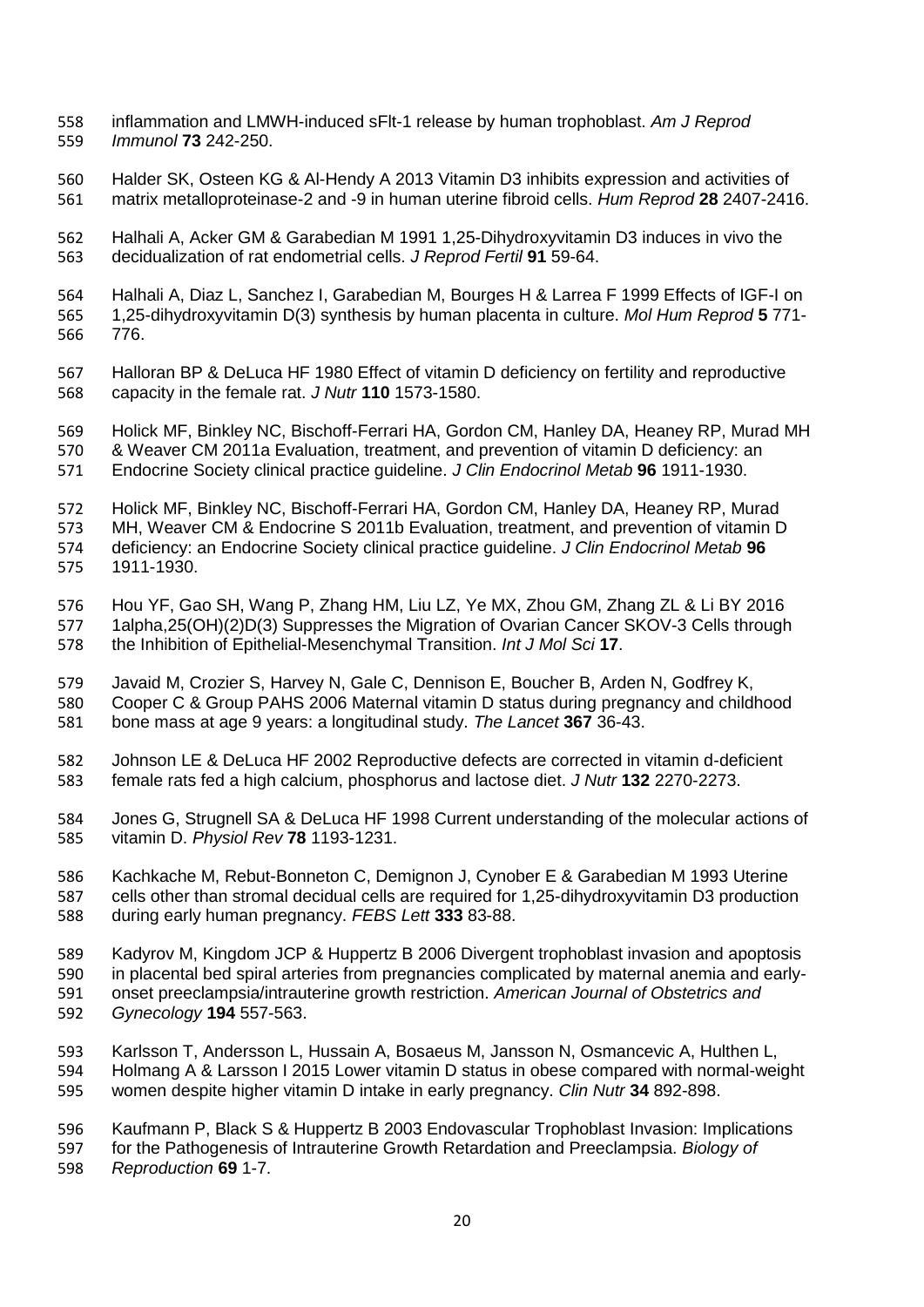- inflammation and LMWH-induced sFlt-1 release by human trophoblast. *Am J Reprod Immunol* **73** 242-250.
- Halder SK, Osteen KG & Al-Hendy A 2013 Vitamin D3 inhibits expression and activities of matrix metalloproteinase-2 and -9 in human uterine fibroid cells. *Hum Reprod* **28** 2407-2416.
- Halhali A, Acker GM & Garabedian M 1991 1,25-Dihydroxyvitamin D3 induces in vivo the decidualization of rat endometrial cells. *J Reprod Fertil* **91** 59-64.
- Halhali A, Diaz L, Sanchez I, Garabedian M, Bourges H & Larrea F 1999 Effects of IGF-I on 1,25-dihydroxyvitamin D(3) synthesis by human placenta in culture. *Mol Hum Reprod* **5** 771- 776.
- Halloran BP & DeLuca HF 1980 Effect of vitamin D deficiency on fertility and reproductive capacity in the female rat. *J Nutr* **110** 1573-1580.
- Holick MF, Binkley NC, Bischoff-Ferrari HA, Gordon CM, Hanley DA, Heaney RP, Murad MH & Weaver CM 2011a Evaluation, treatment, and prevention of vitamin D deficiency: an
- Endocrine Society clinical practice guideline. *J Clin Endocrinol Metab* **96** 1911-1930.
- Holick MF, Binkley NC, Bischoff-Ferrari HA, Gordon CM, Hanley DA, Heaney RP, Murad
- MH, Weaver CM & Endocrine S 2011b Evaluation, treatment, and prevention of vitamin D deficiency: an Endocrine Society clinical practice guideline. *J Clin Endocrinol Metab* **96**
- 1911-1930.
- 576 Hou YF, Gao SH, Wang P, Zhang HM, Liu LZ, Ye MX, Zhou GM, Zhang ZL & Li BY 2016<br>577 1alpha, 25(OH)(2)D(3) Suppresses the Migration of Ovarian Cancer SKOV-3 Cells through 1alpha,25(OH)(2)D(3) Suppresses the Migration of Ovarian Cancer SKOV-3 Cells through the Inhibition of Epithelial-Mesenchymal Transition. *Int J Mol Sci* **17**.
- Javaid M, Crozier S, Harvey N, Gale C, Dennison E, Boucher B, Arden N, Godfrey K, Cooper C & Group PAHS 2006 Maternal vitamin D status during pregnancy and childhood bone mass at age 9 years: a longitudinal study. *The Lancet* **367** 36-43.
- Johnson LE & DeLuca HF 2002 Reproductive defects are corrected in vitamin d-deficient female rats fed a high calcium, phosphorus and lactose diet. *J Nutr* **132** 2270-2273.
- Jones G, Strugnell SA & DeLuca HF 1998 Current understanding of the molecular actions of vitamin D. *Physiol Rev* **78** 1193-1231.
- Kachkache M, Rebut-Bonneton C, Demignon J, Cynober E & Garabedian M 1993 Uterine cells other than stromal decidual cells are required for 1,25-dihydroxyvitamin D3 production during early human pregnancy. *FEBS Lett* **333** 83-88.
- Kadyrov M, Kingdom JCP & Huppertz B 2006 Divergent trophoblast invasion and apoptosis in placental bed spiral arteries from pregnancies complicated by maternal anemia and early- onset preeclampsia/intrauterine growth restriction. *American Journal of Obstetrics and Gynecology* **194** 557-563.
- Karlsson T, Andersson L, Hussain A, Bosaeus M, Jansson N, Osmancevic A, Hulthen L, Holmang A & Larsson I 2015 Lower vitamin D status in obese compared with normal-weight women despite higher vitamin D intake in early pregnancy. *Clin Nutr* **34** 892-898.
- Kaufmann P, Black S & Huppertz B 2003 Endovascular Trophoblast Invasion: Implications for the Pathogenesis of Intrauterine Growth Retardation and Preeclampsia. *Biology of Reproduction* **69** 1-7.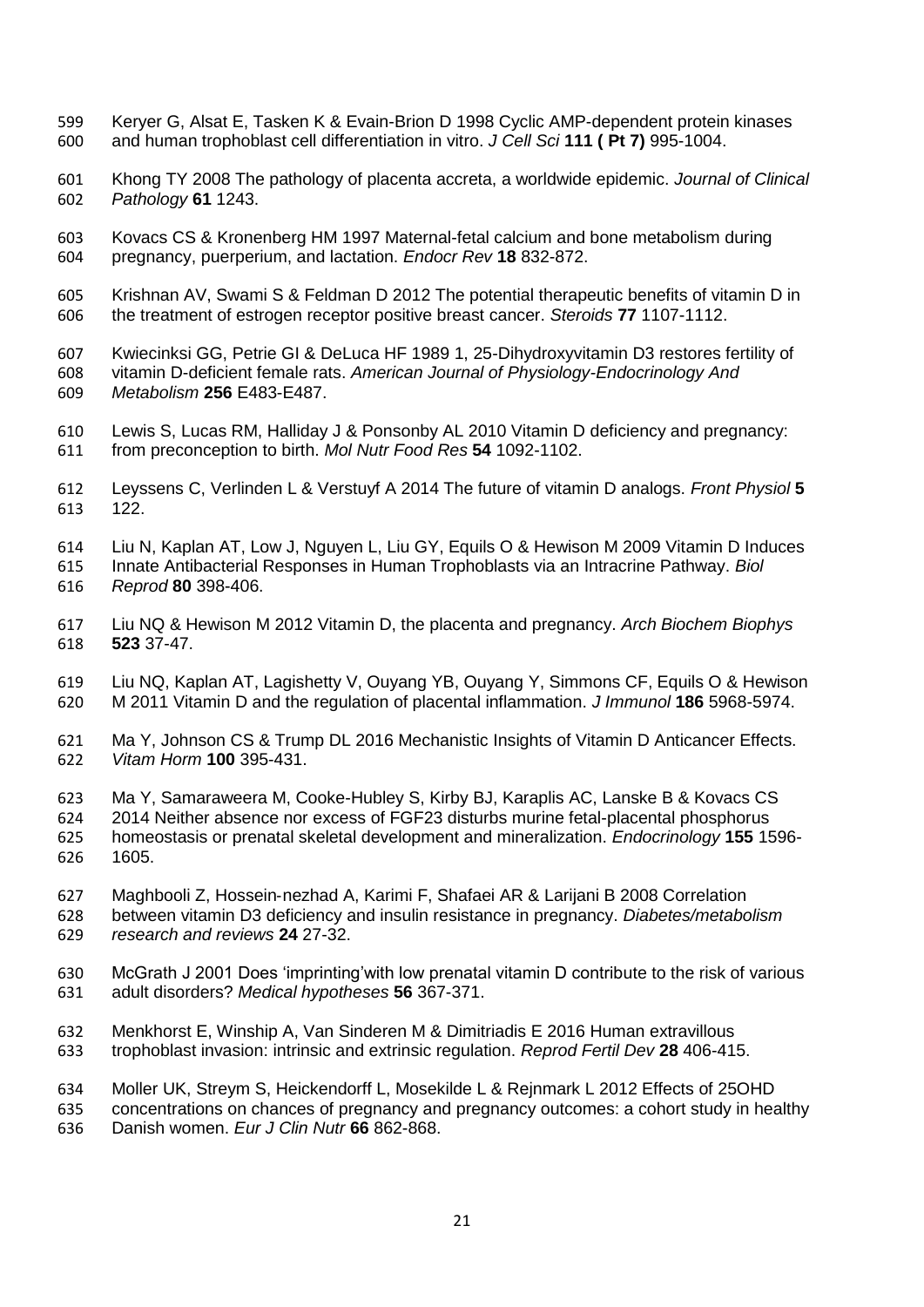- Keryer G, Alsat E, Tasken K & Evain-Brion D 1998 Cyclic AMP-dependent protein kinases and human trophoblast cell differentiation in vitro. *J Cell Sci* **111 ( Pt 7)** 995-1004.
- Khong TY 2008 The pathology of placenta accreta, a worldwide epidemic. *Journal of Clinical Pathology* **61** 1243.
- Kovacs CS & Kronenberg HM 1997 Maternal-fetal calcium and bone metabolism during pregnancy, puerperium, and lactation. *Endocr Rev* **18** 832-872.
- Krishnan AV, Swami S & Feldman D 2012 The potential therapeutic benefits of vitamin D in the treatment of estrogen receptor positive breast cancer. *Steroids* **77** 1107-1112.
- Kwiecinksi GG, Petrie GI & DeLuca HF 1989 1, 25-Dihydroxyvitamin D3 restores fertility of vitamin D-deficient female rats. *American Journal of Physiology-Endocrinology And Metabolism* **256** E483-E487.
- Lewis S, Lucas RM, Halliday J & Ponsonby AL 2010 Vitamin D deficiency and pregnancy: from preconception to birth. *Mol Nutr Food Res* **54** 1092-1102.
- Leyssens C, Verlinden L & Verstuyf A 2014 The future of vitamin D analogs. *Front Physiol* **5** 122.
- Liu N, Kaplan AT, Low J, Nguyen L, Liu GY, Equils O & Hewison M 2009 Vitamin D Induces Innate Antibacterial Responses in Human Trophoblasts via an Intracrine Pathway. *Biol Reprod* **80** 398-406.
- Liu NQ & Hewison M 2012 Vitamin D, the placenta and pregnancy. *Arch Biochem Biophys* **523** 37-47.
- Liu NQ, Kaplan AT, Lagishetty V, Ouyang YB, Ouyang Y, Simmons CF, Equils O & Hewison M 2011 Vitamin D and the regulation of placental inflammation. *J Immunol* **186** 5968-5974.
- Ma Y, Johnson CS & Trump DL 2016 Mechanistic Insights of Vitamin D Anticancer Effects. *Vitam Horm* **100** 395-431.
- Ma Y, Samaraweera M, Cooke-Hubley S, Kirby BJ, Karaplis AC, Lanske B & Kovacs CS 2014 Neither absence nor excess of FGF23 disturbs murine fetal-placental phosphorus homeostasis or prenatal skeletal development and mineralization. *Endocrinology* **155** 1596- 1605.
- Maghbooli Z, Hossein‐nezhad A, Karimi F, Shafaei AR & Larijani B 2008 Correlation between vitamin D3 deficiency and insulin resistance in pregnancy. *Diabetes/metabolism research and reviews* **24** 27-32.
- McGrath J 2001 Does 'imprinting'with low prenatal vitamin D contribute to the risk of various adult disorders? *Medical hypotheses* **56** 367-371.
- Menkhorst E, Winship A, Van Sinderen M & Dimitriadis E 2016 Human extravillous trophoblast invasion: intrinsic and extrinsic regulation. *Reprod Fertil Dev* **28** 406-415.

 Moller UK, Streym S, Heickendorff L, Mosekilde L & Rejnmark L 2012 Effects of 25OHD concentrations on chances of pregnancy and pregnancy outcomes: a cohort study in healthy Danish women. *Eur J Clin Nutr* **66** 862-868.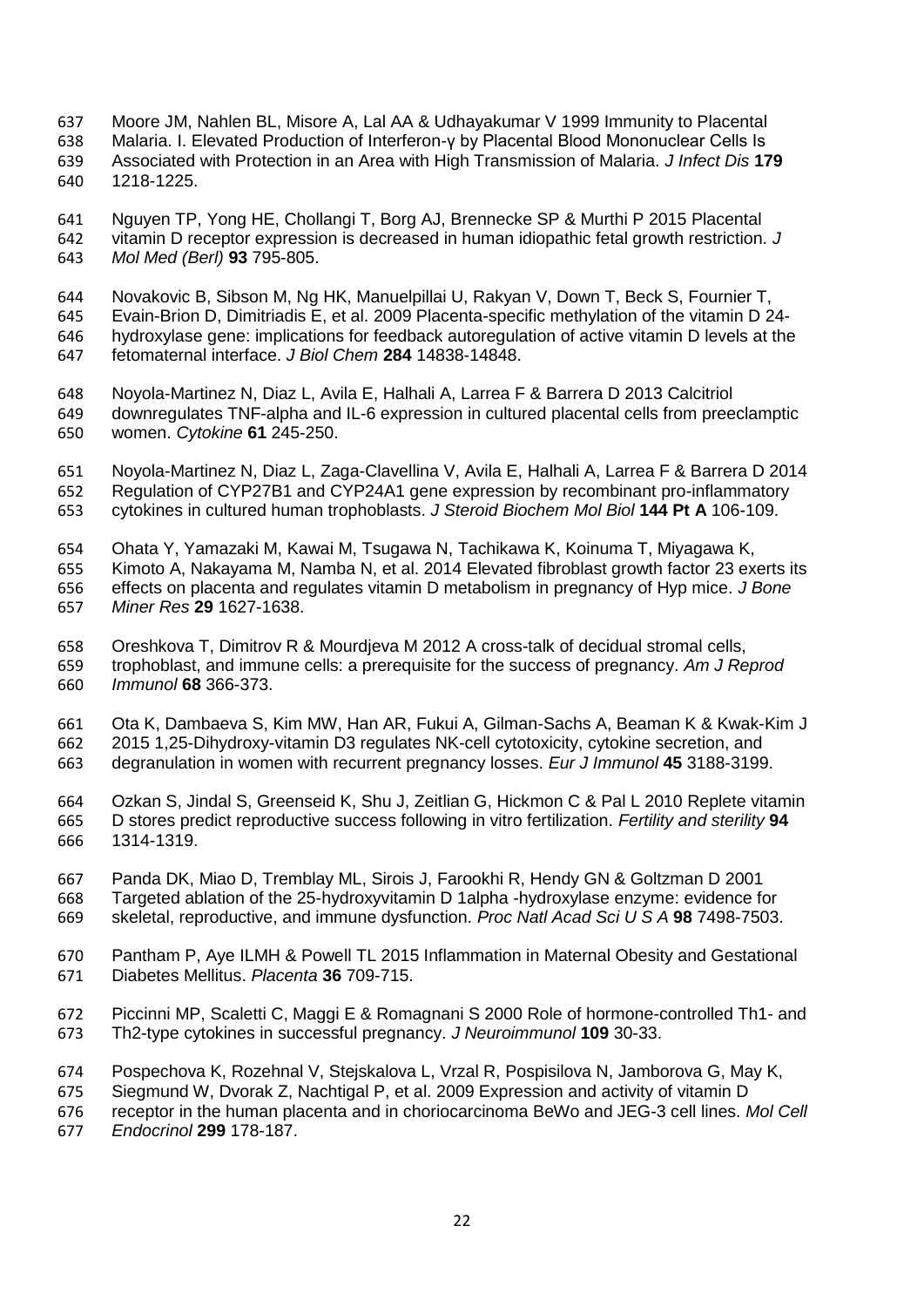- Moore JM, Nahlen BL, Misore A, Lal AA & Udhayakumar V 1999 Immunity to Placental
- Malaria. I. Elevated Production of Interferon-γ by Placental Blood Mononuclear Cells Is
- Associated with Protection in an Area with High Transmission of Malaria. *J Infect Dis* **179** 1218-1225.
- Nguyen TP, Yong HE, Chollangi T, Borg AJ, Brennecke SP & Murthi P 2015 Placental vitamin D receptor expression is decreased in human idiopathic fetal growth restriction. *J Mol Med (Berl)* **93** 795-805.
- Novakovic B, Sibson M, Ng HK, Manuelpillai U, Rakyan V, Down T, Beck S, Fournier T, Evain-Brion D, Dimitriadis E, et al. 2009 Placenta-specific methylation of the vitamin D 24- hydroxylase gene: implications for feedback autoregulation of active vitamin D levels at the fetomaternal interface. *J Biol Chem* **284** 14838-14848.
- Noyola-Martinez N, Diaz L, Avila E, Halhali A, Larrea F & Barrera D 2013 Calcitriol downregulates TNF-alpha and IL-6 expression in cultured placental cells from preeclamptic women. *Cytokine* **61** 245-250.
- Noyola-Martinez N, Diaz L, Zaga-Clavellina V, Avila E, Halhali A, Larrea F & Barrera D 2014 Regulation of CYP27B1 and CYP24A1 gene expression by recombinant pro-inflammatory cytokines in cultured human trophoblasts. *J Steroid Biochem Mol Biol* **144 Pt A** 106-109.
- Ohata Y, Yamazaki M, Kawai M, Tsugawa N, Tachikawa K, Koinuma T, Miyagawa K, Kimoto A, Nakayama M, Namba N, et al. 2014 Elevated fibroblast growth factor 23 exerts its effects on placenta and regulates vitamin D metabolism in pregnancy of Hyp mice. *J Bone Miner Res* **29** 1627-1638.
- Oreshkova T, Dimitrov R & Mourdjeva M 2012 A cross-talk of decidual stromal cells, trophoblast, and immune cells: a prerequisite for the success of pregnancy. *Am J Reprod Immunol* **68** 366-373.
- Ota K, Dambaeva S, Kim MW, Han AR, Fukui A, Gilman-Sachs A, Beaman K & Kwak-Kim J 2015 1,25-Dihydroxy-vitamin D3 regulates NK-cell cytotoxicity, cytokine secretion, and degranulation in women with recurrent pregnancy losses. *Eur J Immunol* **45** 3188-3199.
- Ozkan S, Jindal S, Greenseid K, Shu J, Zeitlian G, Hickmon C & Pal L 2010 Replete vitamin D stores predict reproductive success following in vitro fertilization. *Fertility and sterility* **94** 1314-1319.
- Panda DK, Miao D, Tremblay ML, Sirois J, Farookhi R, Hendy GN & Goltzman D 2001 Targeted ablation of the 25-hydroxyvitamin D 1alpha -hydroxylase enzyme: evidence for skeletal, reproductive, and immune dysfunction. *Proc Natl Acad Sci U S A* **98** 7498-7503.
- Pantham P, Aye ILMH & Powell TL 2015 Inflammation in Maternal Obesity and Gestational Diabetes Mellitus. *Placenta* **36** 709-715.
- Piccinni MP, Scaletti C, Maggi E & Romagnani S 2000 Role of hormone-controlled Th1- and Th2-type cytokines in successful pregnancy. *J Neuroimmunol* **109** 30-33.
- Pospechova K, Rozehnal V, Stejskalova L, Vrzal R, Pospisilova N, Jamborova G, May K,
- Siegmund W, Dvorak Z, Nachtigal P, et al. 2009 Expression and activity of vitamin D
- receptor in the human placenta and in choriocarcinoma BeWo and JEG-3 cell lines. *Mol Cell*
- *Endocrinol* **299** 178-187.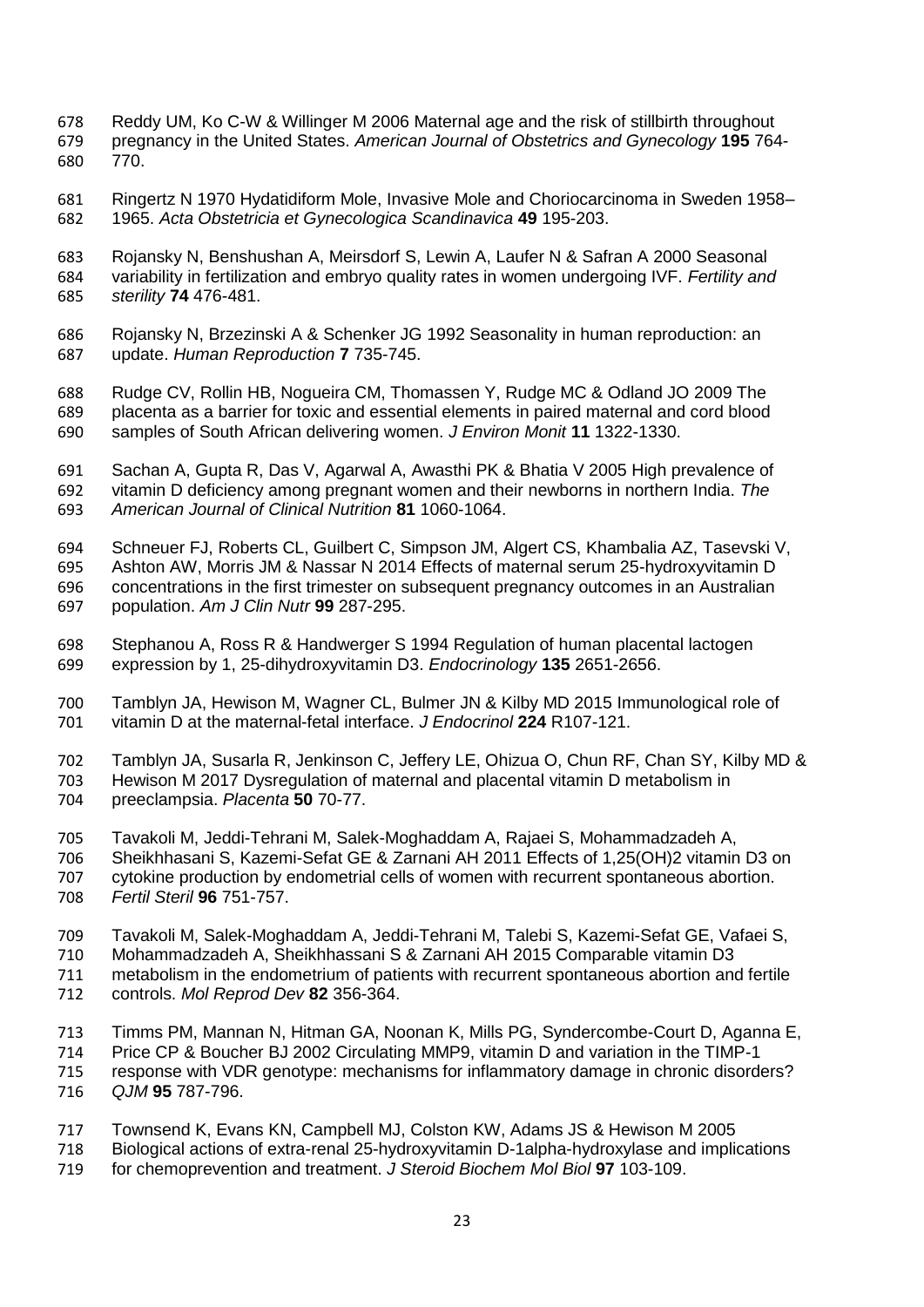- Reddy UM, Ko C-W & Willinger M 2006 Maternal age and the risk of stillbirth throughout pregnancy in the United States. *American Journal of Obstetrics and Gynecology* **195** 764- 770.
- Ringertz N 1970 Hydatidiform Mole, Invasive Mole and Choriocarcinoma in Sweden 1958– 1965. *Acta Obstetricia et Gynecologica Scandinavica* **49** 195-203.
- Rojansky N, Benshushan A, Meirsdorf S, Lewin A, Laufer N & Safran A 2000 Seasonal variability in fertilization and embryo quality rates in women undergoing IVF. *Fertility and sterility* **74** 476-481.
- Rojansky N, Brzezinski A & Schenker JG 1992 Seasonality in human reproduction: an update. *Human Reproduction* **7** 735-745.
- Rudge CV, Rollin HB, Nogueira CM, Thomassen Y, Rudge MC & Odland JO 2009 The placenta as a barrier for toxic and essential elements in paired maternal and cord blood samples of South African delivering women. *J Environ Monit* **11** 1322-1330.
- Sachan A, Gupta R, Das V, Agarwal A, Awasthi PK & Bhatia V 2005 High prevalence of vitamin D deficiency among pregnant women and their newborns in northern India. *The American Journal of Clinical Nutrition* **81** 1060-1064.
- Schneuer FJ, Roberts CL, Guilbert C, Simpson JM, Algert CS, Khambalia AZ, Tasevski V, Ashton AW, Morris JM & Nassar N 2014 Effects of maternal serum 25-hydroxyvitamin D concentrations in the first trimester on subsequent pregnancy outcomes in an Australian population. *Am J Clin Nutr* **99** 287-295.
- Stephanou A, Ross R & Handwerger S 1994 Regulation of human placental lactogen expression by 1, 25-dihydroxyvitamin D3. *Endocrinology* **135** 2651-2656.
- Tamblyn JA, Hewison M, Wagner CL, Bulmer JN & Kilby MD 2015 Immunological role of vitamin D at the maternal-fetal interface. *J Endocrinol* **224** R107-121.
- Tamblyn JA, Susarla R, Jenkinson C, Jeffery LE, Ohizua O, Chun RF, Chan SY, Kilby MD & 703 Hewison M 2017 Dysregulation of maternal and placental vitamin D metabolism in<br>704 Dreeclampsia. Placenta 50 70-77.
- preeclampsia. *Placenta* **50** 70-77.
- Tavakoli M, Jeddi-Tehrani M, Salek-Moghaddam A, Rajaei S, Mohammadzadeh A,
- Sheikhhasani S, Kazemi-Sefat GE & Zarnani AH 2011 Effects of 1,25(OH)2 vitamin D3 on cytokine production by endometrial cells of women with recurrent spontaneous abortion. *Fertil Steril* **96** 751-757.
- 
- Tavakoli M, Salek-Moghaddam A, Jeddi-Tehrani M, Talebi S, Kazemi-Sefat GE, Vafaei S,
- Mohammadzadeh A, Sheikhhassani S & Zarnani AH 2015 Comparable vitamin D3
- 711 metabolism in the endometrium of patients with recurrent spontaneous abortion and fertile<br>712 controls. Mol Reprod Dev 82 356-364. controls. *Mol Reprod Dev* **82** 356-364.
- 
- Timms PM, Mannan N, Hitman GA, Noonan K, Mills PG, Syndercombe-Court D, Aganna E,
- Price CP & Boucher BJ 2002 Circulating MMP9, vitamin D and variation in the TIMP-1 response with VDR genotype: mechanisms for inflammatory damage in chronic disorders?
- *QJM* **95** 787-796.
- Townsend K, Evans KN, Campbell MJ, Colston KW, Adams JS & Hewison M 2005
- 718 Biological actions of extra-renal 25-hydroxyvitamin D-1alpha-hydroxylase and implications<br>719 for chemoprevention and treatment. J Steroid Biochem Mol Biol 97 103-109.
- for chemoprevention and treatment. *J Steroid Biochem Mol Biol* **97** 103-109.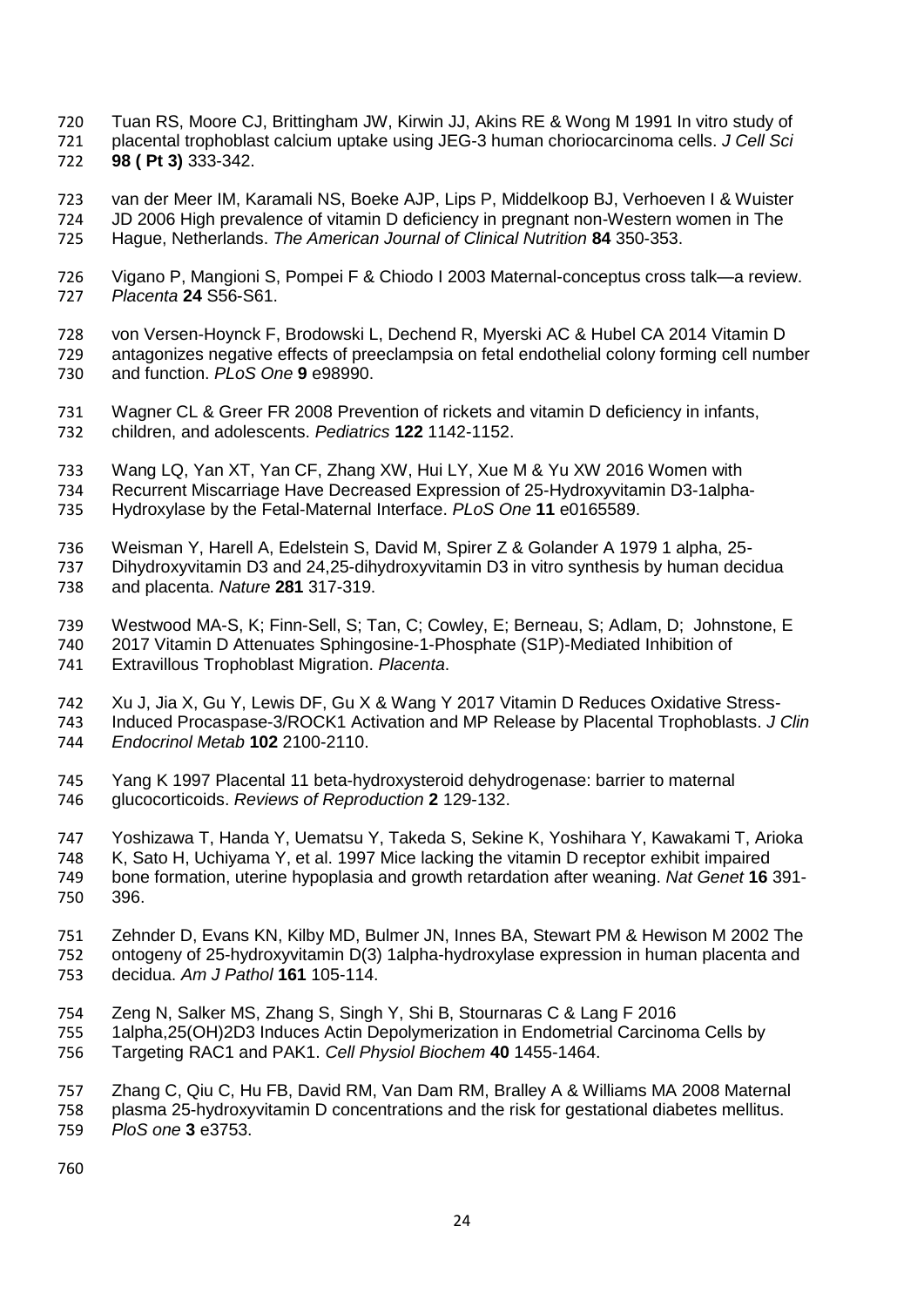- Tuan RS, Moore CJ, Brittingham JW, Kirwin JJ, Akins RE & Wong M 1991 In vitro study of
- placental trophoblast calcium uptake using JEG-3 human choriocarcinoma cells. *J Cell Sci*
- **98 ( Pt 3)** 333-342.
- van der Meer IM, Karamali NS, Boeke AJP, Lips P, Middelkoop BJ, Verhoeven I & Wuister JD 2006 High prevalence of vitamin D deficiency in pregnant non-Western women in The Hague, Netherlands. *The American Journal of Clinical Nutrition* **84** 350-353.
- Vigano P, Mangioni S, Pompei F & Chiodo I 2003 Maternal-conceptus cross talk—a review. *Placenta* **24** S56-S61.
- von Versen-Hoynck F, Brodowski L, Dechend R, Myerski AC & Hubel CA 2014 Vitamin D antagonizes negative effects of preeclampsia on fetal endothelial colony forming cell number and function. *PLoS One* **9** e98990.
- Wagner CL & Greer FR 2008 Prevention of rickets and vitamin D deficiency in infants, children, and adolescents. *Pediatrics* **122** 1142-1152.
- Wang LQ, Yan XT, Yan CF, Zhang XW, Hui LY, Xue M & Yu XW 2016 Women with
- Recurrent Miscarriage Have Decreased Expression of 25-Hydroxyvitamin D3-1alpha-
- Hydroxylase by the Fetal-Maternal Interface. *PLoS One* **11** e0165589.
- Weisman Y, Harell A, Edelstein S, David M, Spirer Z & Golander A 1979 1 alpha, 25- Dihydroxyvitamin D3 and 24,25-dihydroxyvitamin D3 in vitro synthesis by human decidua and placenta. *Nature* **281** 317-319.
- Westwood MA-S, K; Finn-Sell, S; Tan, C; Cowley, E; Berneau, S; Adlam, D; Johnstone, E 2017 Vitamin D Attenuates Sphingosine-1-Phosphate (S1P)-Mediated Inhibition of
- Extravillous Trophoblast Migration. *Placenta*.
- Xu J, Jia X, Gu Y, Lewis DF, Gu X & Wang Y 2017 Vitamin D Reduces Oxidative Stress- Induced Procaspase-3/ROCK1 Activation and MP Release by Placental Trophoblasts. *J Clin Endocrinol Metab* **102** 2100-2110.
- Yang K 1997 Placental 11 beta-hydroxysteroid dehydrogenase: barrier to maternal glucocorticoids. *Reviews of Reproduction* **2** 129-132.
- Yoshizawa T, Handa Y, Uematsu Y, Takeda S, Sekine K, Yoshihara Y, Kawakami T, Arioka K, Sato H, Uchiyama Y, et al. 1997 Mice lacking the vitamin D receptor exhibit impaired bone formation, uterine hypoplasia and growth retardation after weaning. *Nat Genet* **16** 391- 396.
- Zehnder D, Evans KN, Kilby MD, Bulmer JN, Innes BA, Stewart PM & Hewison M 2002 The ontogeny of 25-hydroxyvitamin D(3) 1alpha-hydroxylase expression in human placenta and decidua. *Am J Pathol* **161** 105-114.
- Zeng N, Salker MS, Zhang S, Singh Y, Shi B, Stournaras C & Lang F 2016
- 1alpha,25(OH)2D3 Induces Actin Depolymerization in Endometrial Carcinoma Cells by Targeting RAC1 and PAK1. *Cell Physiol Biochem* **40** 1455-1464.
- Zhang C, Qiu C, Hu FB, David RM, Van Dam RM, Bralley A & Williams MA 2008 Maternal plasma 25-hydroxyvitamin D concentrations and the risk for gestational diabetes mellitus. *PloS one* **3** e3753.